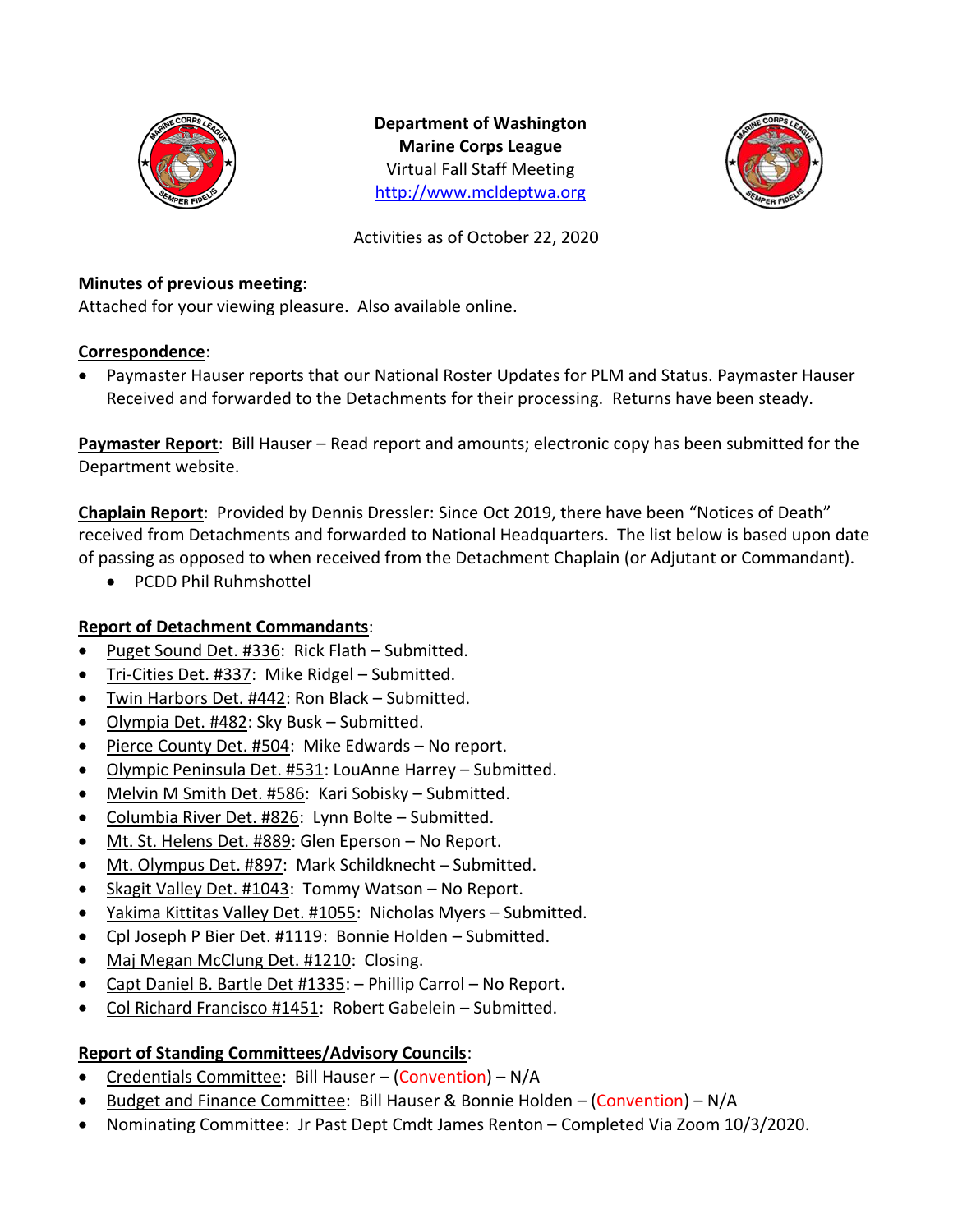

**Department of Washington Marine Corps League** Virtual Fall Staff Meeting [http://www.mcldeptwa.org](http://www.mcldeptwa.org/)



Activities as of October 22, 2020

## **Minutes of previous meeting**:

Attached for your viewing pleasure. Also available online.

# **Correspondence**:

• Paymaster Hauser reports that our National Roster Updates for PLM and Status. Paymaster Hauser Received and forwarded to the Detachments for their processing. Returns have been steady.

**Paymaster Report**: Bill Hauser – Read report and amounts; electronic copy has been submitted for the Department website.

**Chaplain Report**: Provided by Dennis Dressler: Since Oct 2019, there have been "Notices of Death" received from Detachments and forwarded to National Headquarters. The list below is based upon date of passing as opposed to when received from the Detachment Chaplain (or Adjutant or Commandant).

• PCDD Phil Ruhmshottel

# **Report of Detachment Commandants**:

- Puget Sound Det. #336: Rick Flath Submitted.
- Tri-Cities Det. #337: Mike Ridgel Submitted.
- Twin Harbors Det. #442: Ron Black Submitted.
- Olympia Det. #482: Sky Busk Submitted.
- Pierce County Det. #504: Mike Edwards No report.
- Olympic Peninsula Det. #531: LouAnne Harrey Submitted.
- Melvin M Smith Det. #586: Kari Sobisky Submitted.
- Columbia River Det. #826: Lynn Bolte Submitted.
- Mt. St. Helens Det. #889: Glen Eperson No Report.
- Mt. Olympus Det. #897: Mark Schildknecht Submitted.
- Skagit Valley Det. #1043: Tommy Watson No Report.
- Yakima Kittitas Valley Det. #1055: Nicholas Myers Submitted.
- Cpl Joseph P Bier Det. #1119: Bonnie Holden Submitted.
- Maj Megan McClung Det. #1210: Closing.
- Capt Daniel B. Bartle Det #1335: Phillip Carrol No Report.
- Col Richard Francisco #1451: Robert Gabelein Submitted.

# **Report of Standing Committees/Advisory Councils**:

- Credentials Committee: Bill Hauser (Convention) N/A
- Budget and Finance Committee: Bill Hauser & Bonnie Holden (Convention) N/A
- Nominating Committee: Jr Past Dept Cmdt James Renton Completed Via Zoom 10/3/2020.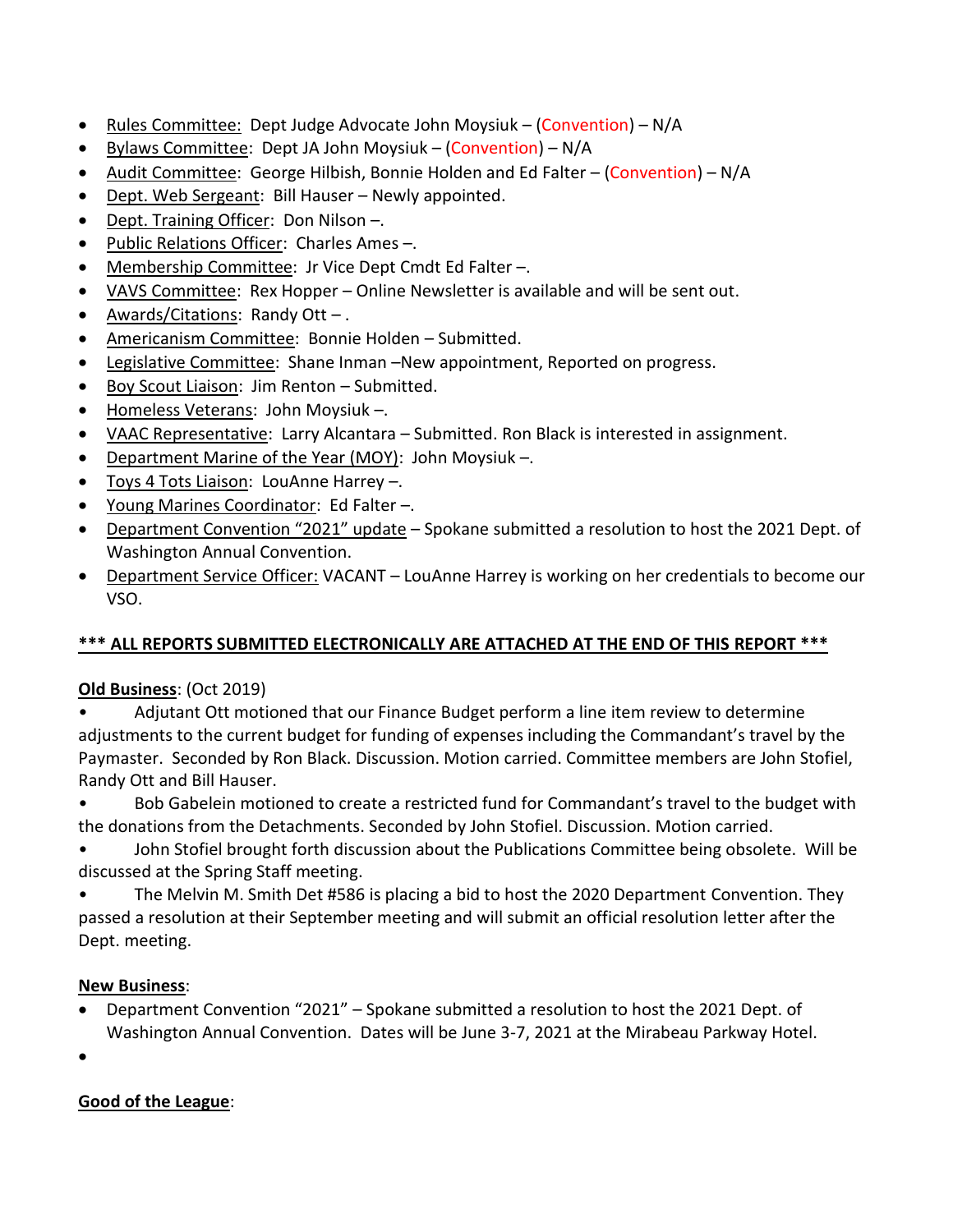- Rules Committee: Dept Judge Advocate John Moysiuk (Convention) N/A
- Bylaws Committee: Dept JA John Moysiuk (Convention) N/A
- Audit Committee: George Hilbish, Bonnie Holden and Ed Falter (Convention) N/A
- Dept. Web Sergeant: Bill Hauser Newly appointed.
- Dept. Training Officer: Don Nilson –.
- Public Relations Officer: Charles Ames –.
- Membership Committee: Jr Vice Dept Cmdt Ed Falter –.
- VAVS Committee: Rex Hopper Online Newsletter is available and will be sent out.
- Awards/Citations: Randy Ott .
- Americanism Committee: Bonnie Holden Submitted.
- Legislative Committee: Shane Inman -New appointment, Reported on progress.
- Boy Scout Liaison: Jim Renton Submitted.
- Homeless Veterans: John Moysiuk -.
- VAAC Representative: Larry Alcantara Submitted. Ron Black is interested in assignment.
- Department Marine of the Year (MOY): John Moysiuk –.
- Toys 4 Tots Liaison: LouAnne Harrey –.
- Young Marines Coordinator: Ed Falter –.
- Department Convention "2021" update Spokane submitted a resolution to host the 2021 Dept. of Washington Annual Convention.
- Department Service Officer: VACANT LouAnne Harrey is working on her credentials to become our VSO.

# **\*\*\* ALL REPORTS SUBMITTED ELECTRONICALLY ARE ATTACHED AT THE END OF THIS REPORT \*\*\***

# **Old Business**: (Oct 2019)

• Adjutant Ott motioned that our Finance Budget perform a line item review to determine adjustments to the current budget for funding of expenses including the Commandant's travel by the Paymaster. Seconded by Ron Black. Discussion. Motion carried. Committee members are John Stofiel, Randy Ott and Bill Hauser.

• Bob Gabelein motioned to create a restricted fund for Commandant's travel to the budget with the donations from the Detachments. Seconded by John Stofiel. Discussion. Motion carried.

• John Stofiel brought forth discussion about the Publications Committee being obsolete. Will be discussed at the Spring Staff meeting.

• The Melvin M. Smith Det #586 is placing a bid to host the 2020 Department Convention. They passed a resolution at their September meeting and will submit an official resolution letter after the Dept. meeting.

# **New Business**:

• Department Convention "2021" – Spokane submitted a resolution to host the 2021 Dept. of Washington Annual Convention. Dates will be June 3-7, 2021 at the Mirabeau Parkway Hotel.

•

# **Good of the League**: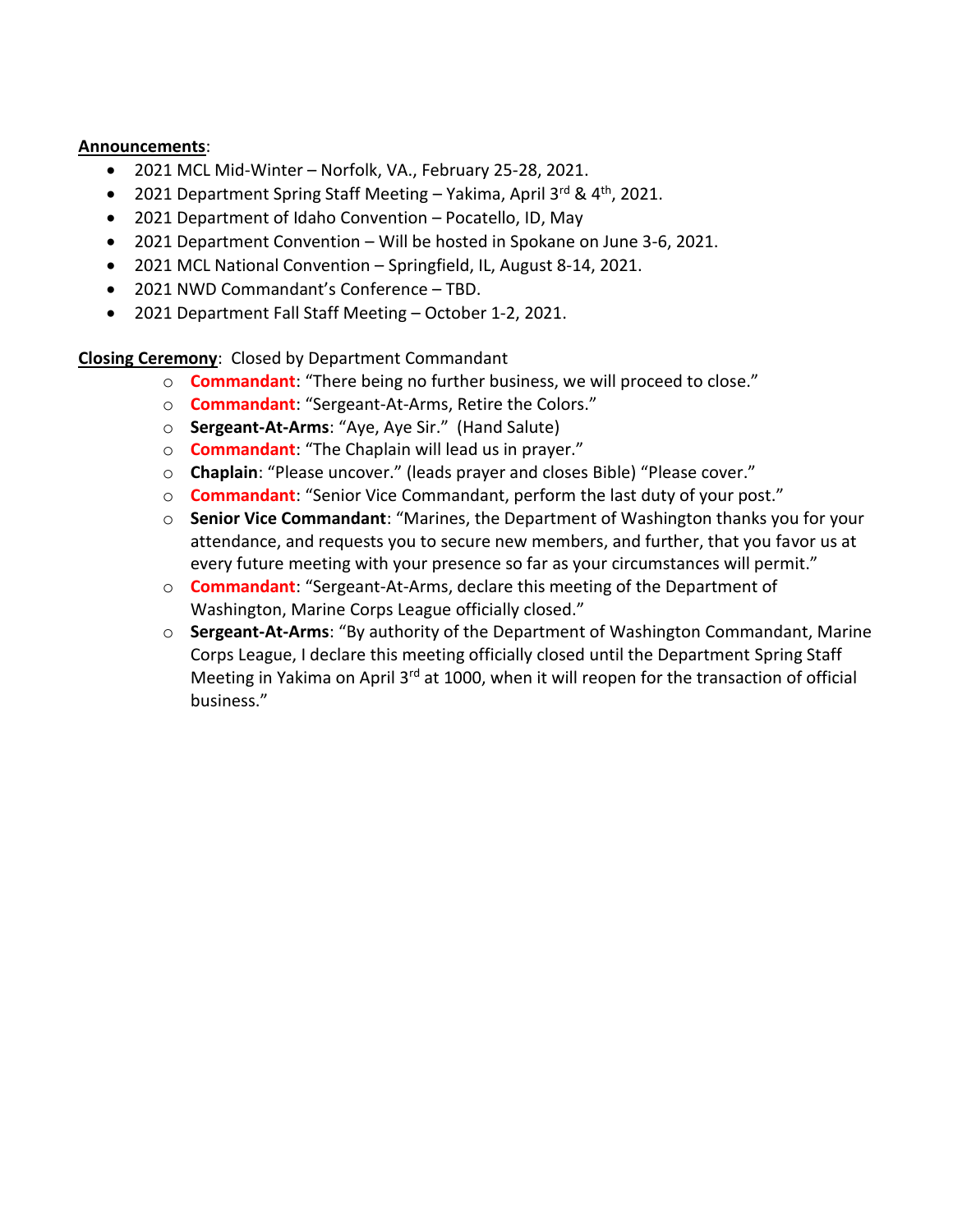#### **Announcements**:

- 2021 MCL Mid-Winter Norfolk, VA., February 25-28, 2021.
- 2021 Department Spring Staff Meeting Yakima, April 3rd & 4<sup>th</sup>, 2021.
- 2021 Department of Idaho Convention Pocatello, ID, May
- 2021 Department Convention Will be hosted in Spokane on June 3-6, 2021.
- 2021 MCL National Convention Springfield, IL, August 8-14, 2021.
- 2021 NWD Commandant's Conference TBD.
- 2021 Department Fall Staff Meeting October 1-2, 2021.

**Closing Ceremony**: Closed by Department Commandant

- o **Commandant**: "There being no further business, we will proceed to close."
- o **Commandant**: "Sergeant-At-Arms, Retire the Colors."
- o **Sergeant-At-Arms**: "Aye, Aye Sir." (Hand Salute)
- o **Commandant**: "The Chaplain will lead us in prayer."
- o **Chaplain**: "Please uncover." (leads prayer and closes Bible) "Please cover."
- o **Commandant**: "Senior Vice Commandant, perform the last duty of your post."
- o **Senior Vice Commandant**: "Marines, the Department of Washington thanks you for your attendance, and requests you to secure new members, and further, that you favor us at every future meeting with your presence so far as your circumstances will permit."
- o **Commandant**: "Sergeant-At-Arms, declare this meeting of the Department of Washington, Marine Corps League officially closed."
- o **Sergeant-At-Arms**: "By authority of the Department of Washington Commandant, Marine Corps League, I declare this meeting officially closed until the Department Spring Staff Meeting in Yakima on April 3<sup>rd</sup> at 1000, when it will reopen for the transaction of official business."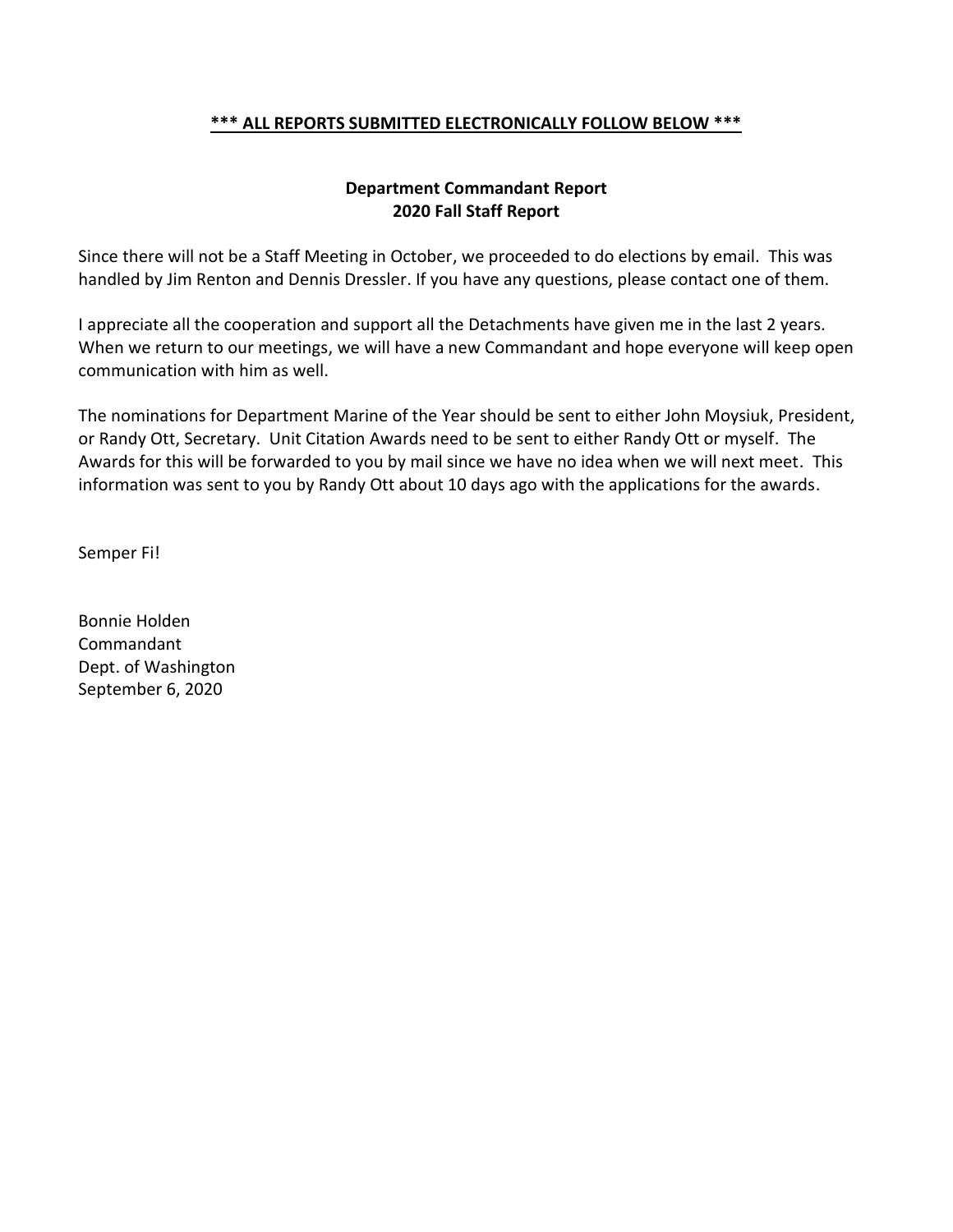#### **\*\*\* ALL REPORTS SUBMITTED ELECTRONICALLY FOLLOW BELOW \*\*\***

## **Department Commandant Report 2020 Fall Staff Report**

Since there will not be a Staff Meeting in October, we proceeded to do elections by email. This was handled by Jim Renton and Dennis Dressler. If you have any questions, please contact one of them.

I appreciate all the cooperation and support all the Detachments have given me in the last 2 years. When we return to our meetings, we will have a new Commandant and hope everyone will keep open communication with him as well.

The nominations for Department Marine of the Year should be sent to either John Moysiuk, President, or Randy Ott, Secretary. Unit Citation Awards need to be sent to either Randy Ott or myself. The Awards for this will be forwarded to you by mail since we have no idea when we will next meet. This information was sent to you by Randy Ott about 10 days ago with the applications for the awards.

Semper Fi!

Bonnie Holden Commandant Dept. of Washington September 6, 2020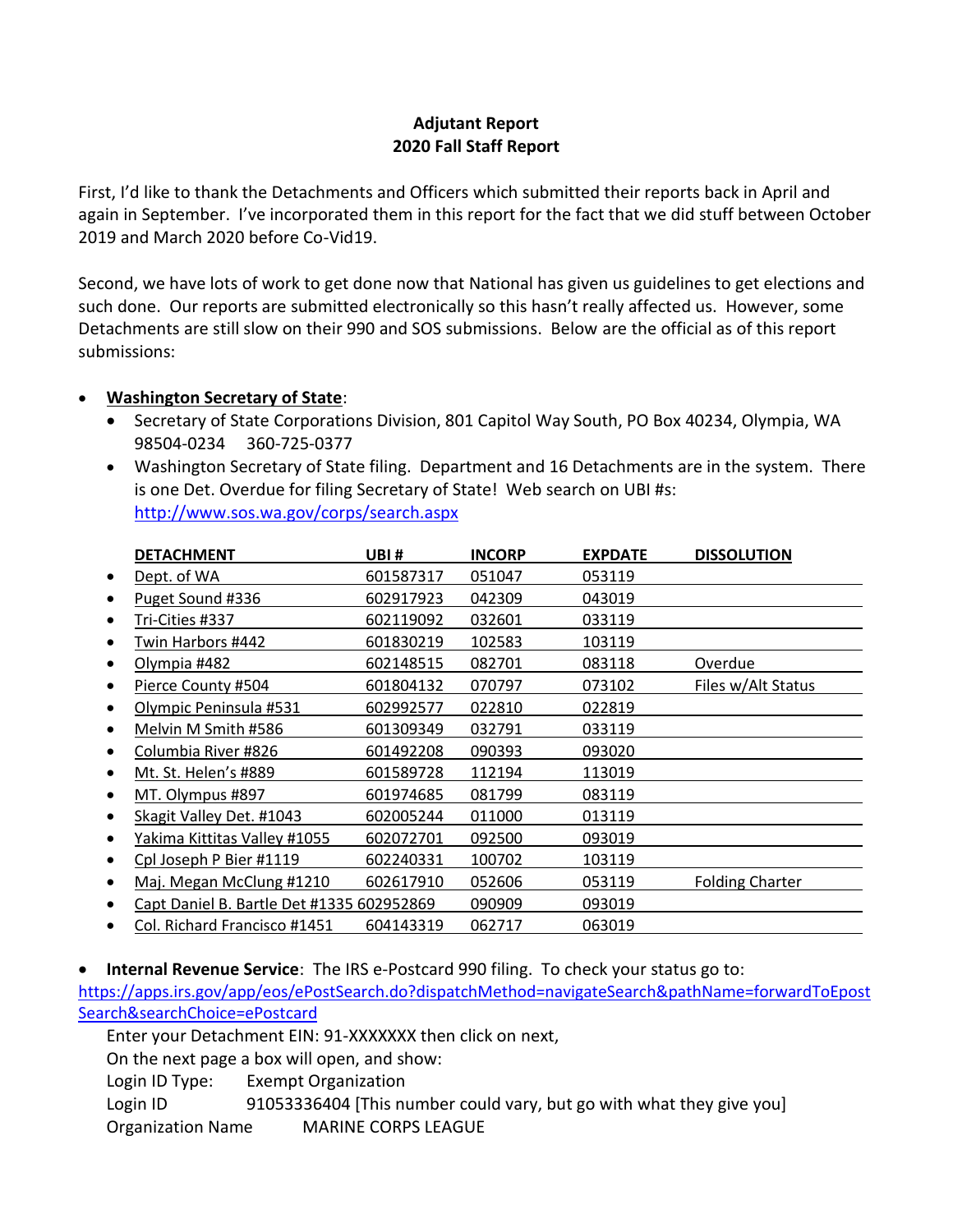# **Adjutant Report 2020 Fall Staff Report**

First, I'd like to thank the Detachments and Officers which submitted their reports back in April and again in September. I've incorporated them in this report for the fact that we did stuff between October 2019 and March 2020 before Co-Vid19.

Second, we have lots of work to get done now that National has given us guidelines to get elections and such done. Our reports are submitted electronically so this hasn't really affected us. However, some Detachments are still slow on their 990 and SOS submissions. Below are the official as of this report submissions:

# • **Washington Secretary of State**:

- Secretary of State Corporations Division, 801 Capitol Way South, PO Box 40234, Olympia, WA 98504-0234 360-725-0377
- Washington Secretary of State filing. Department and 16 Detachments are in the system. There is one Det. Overdue for filing Secretary of State! Web search on UBI #s: <http://www.sos.wa.gov/corps/search.aspx>

|           | <b>DETACHMENT</b>                         | UBI#      | <b>INCORP</b> | <b>EXPDATE</b> | <b>DISSOLUTION</b>     |
|-----------|-------------------------------------------|-----------|---------------|----------------|------------------------|
| $\bullet$ | Dept. of WA                               | 601587317 | 051047        | 053119         |                        |
|           | Puget Sound #336                          | 602917923 | 042309        | 043019         |                        |
|           | Tri-Cities #337                           | 602119092 | 032601        | 033119         |                        |
|           | Twin Harbors #442                         | 601830219 | 102583        | 103119         |                        |
|           | Olympia #482                              | 602148515 | 082701        | 083118         | Overdue                |
|           | Pierce County #504                        | 601804132 | 070797        | 073102         | Files w/Alt Status     |
|           | Olympic Peninsula #531                    | 602992577 | 022810        | 022819         |                        |
|           | Melvin M Smith #586                       | 601309349 | 032791        | 033119         |                        |
|           | Columbia River #826                       | 601492208 | 090393        | 093020         |                        |
|           | Mt. St. Helen's #889                      | 601589728 | 112194        | 113019         |                        |
|           | MT. Olympus #897                          | 601974685 | 081799        | 083119         |                        |
|           | Skagit Valley Det. #1043                  | 602005244 | 011000        | 013119         |                        |
|           | <u>Yakima Kittitas Valley #1055</u>       | 602072701 | 092500        | 093019         |                        |
|           | Cpl Joseph P Bier #1119                   | 602240331 | 100702        | 103119         |                        |
|           | Maj. Megan McClung #1210                  | 602617910 | 052606        | 053119         | <b>Folding Charter</b> |
|           | Capt Daniel B. Bartle Det #1335 602952869 |           | 090909        | 093019         |                        |
|           | Col. Richard Francisco #1451              | 604143319 | 062717        | 063019         |                        |

• **Internal Revenue Service**: The IRS e-Postcard 990 filing. To check your status go to:

[https://apps.irs.gov/app/eos/ePostSearch.do?dispatchMethod=navigateSearch&pathName=forwardToEpost](https://apps.irs.gov/app/eos/ePostSearch.do?dispatchMethod=navigateSearch&pathName=forwardToEpostSearch&searchChoice=ePostcard) [Search&searchChoice=ePostcard](https://apps.irs.gov/app/eos/ePostSearch.do?dispatchMethod=navigateSearch&pathName=forwardToEpostSearch&searchChoice=ePostcard)

Enter your Detachment EIN: 91-XXXXXXX then click on next,

On the next page a box will open, and show:

Login ID Type: Exempt Organization

Login ID 91053336404 [This number could vary, but go with what they give you] Organization Name MARINE CORPS LEAGUE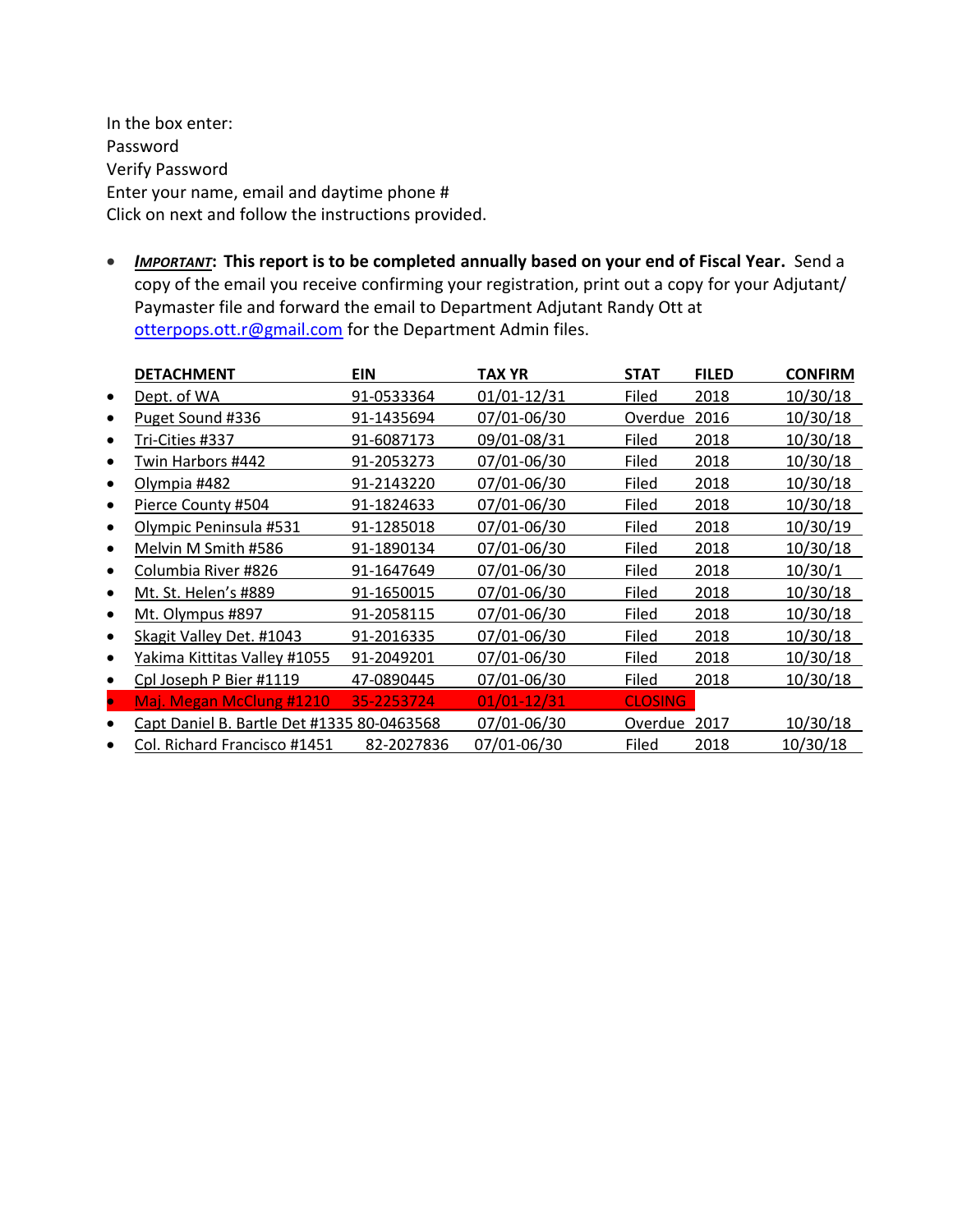In the box enter: Password Verify Password Enter your name, email and daytime phone # Click on next and follow the instructions provided.

• *IMPORTANT***: This report is to be completed annually based on your end of Fiscal Year.** Send a copy of the email you receive confirming your registration, print out a copy for your Adjutant/ Paymaster file and forward the email to Department Adjutant Randy Ott at [otterpops.ott.r@gmail.com](mailto:moysiukjl@hotmail.com) for the Department Admin files.

|           | <b>DETACHMENT</b>                          | <b>EIN</b> | TAX YR          | <b>STAT</b>    | <b>FILED</b> | <b>CONFIRM</b> |
|-----------|--------------------------------------------|------------|-----------------|----------------|--------------|----------------|
| $\bullet$ | Dept. of WA                                | 91-0533364 | 01/01-12/31     | Filed          | 2018         | 10/30/18       |
|           | Puget Sound #336                           | 91-1435694 | 07/01-06/30     | Overdue        | 2016         | 10/30/18       |
|           | Tri-Cities #337                            | 91-6087173 | 09/01-08/31     | Filed          | 2018         | 10/30/18       |
|           | Twin Harbors #442                          | 91-2053273 | 07/01-06/30     | Filed          | 2018         | 10/30/18       |
|           | Olympia #482                               | 91-2143220 | 07/01-06/30     | Filed          | 2018         | 10/30/18       |
|           | Pierce County #504                         | 91-1824633 | 07/01-06/30     | Filed          | 2018         | 10/30/18       |
|           | Olympic Peninsula #531                     | 91-1285018 | 07/01-06/30     | Filed          | 2018         | 10/30/19       |
|           | Melvin M Smith #586                        | 91-1890134 | 07/01-06/30     | Filed          | 2018         | 10/30/18       |
|           | Columbia River #826                        | 91-1647649 | 07/01-06/30     | Filed          | 2018         | 10/30/1        |
|           | Mt. St. Helen's #889                       | 91-1650015 | 07/01-06/30     | Filed          | 2018         | 10/30/18       |
|           | Mt. Olympus #897                           | 91-2058115 | 07/01-06/30     | Filed          | 2018         | 10/30/18       |
|           | Skagit Valley Det. #1043                   | 91-2016335 | 07/01-06/30     | Filed          | 2018         | 10/30/18       |
|           | Yakima Kittitas Valley #1055               | 91-2049201 | 07/01-06/30     | Filed          | 2018         | 10/30/18       |
|           | Cpl Joseph P Bier #1119                    | 47-0890445 | 07/01-06/30     | Filed          | 2018         | 10/30/18       |
| $\bullet$ | Maj. Megan McClung #1210                   | 35-2253724 | $01/01 - 12/31$ | <b>CLOSING</b> |              |                |
|           | Capt Daniel B. Bartle Det #1335 80-0463568 |            | 07/01-06/30     | Overdue        | 2017         | 10/30/18       |
|           | Col. Richard Francisco #1451               | 82-2027836 | 07/01-06/30     | Filed          | 2018         | 10/30/18       |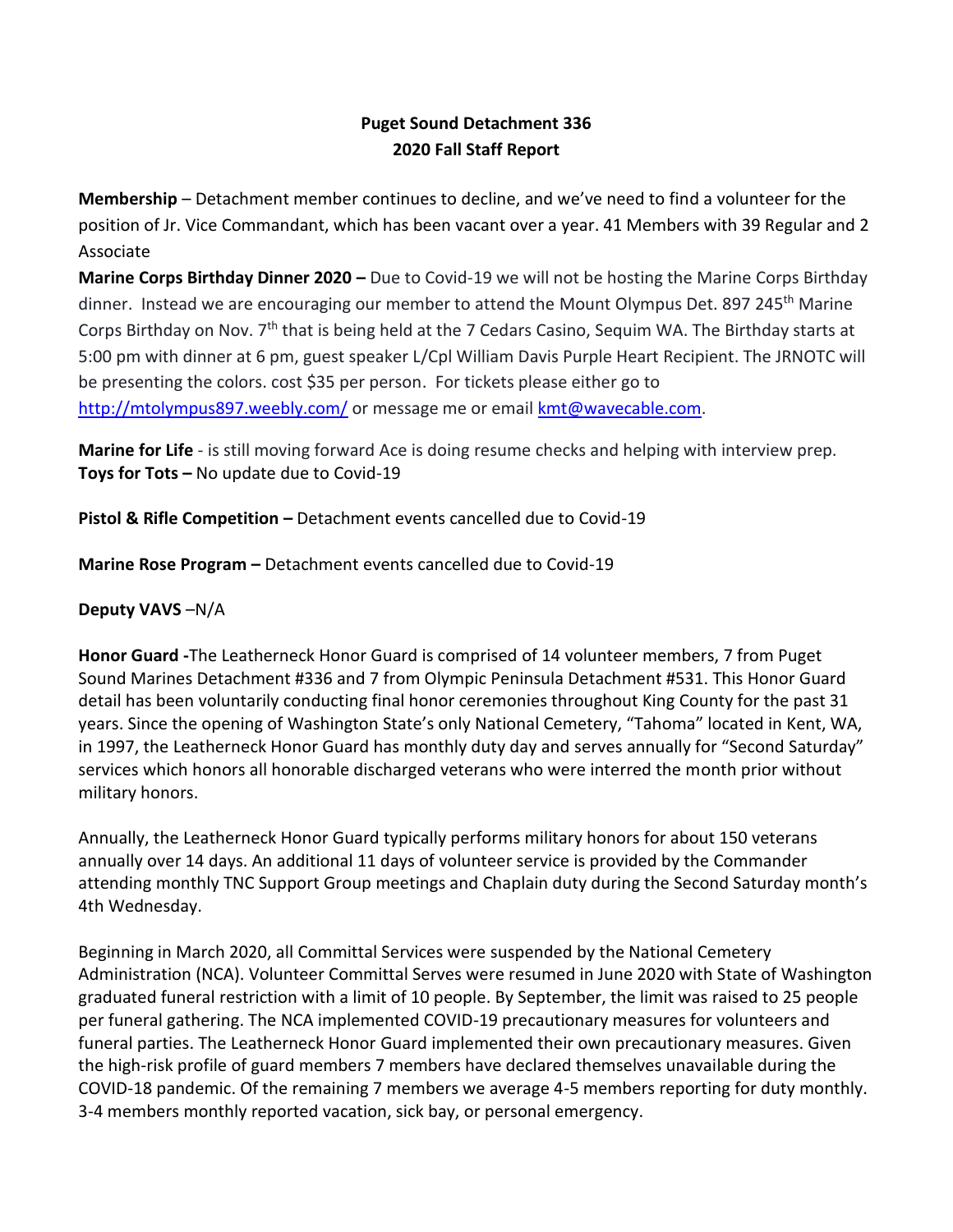# **Puget Sound Detachment 336 2020 Fall Staff Report**

**Membership** – Detachment member continues to decline, and we've need to find a volunteer for the position of Jr. Vice Commandant, which has been vacant over a year. 41 Members with 39 Regular and 2 Associate

**Marine Corps Birthday Dinner 2020 –** Due to Covid-19 we will not be hosting the Marine Corps Birthday dinner. Instead we are encouraging our member to attend the Mount Olympus Det. 897 245<sup>th</sup> Marine Corps Birthday on Nov. 7th that is being held at the 7 Cedars Casino, Sequim WA. The Birthday starts at 5:00 pm with dinner at 6 pm, guest speaker L/Cpl William Davis Purple Heart Recipient. The JRNOTC will be presenting the colors. cost \$35 per person. For tickets please either go to <http://mtolympus897.weebly.com/> or message me or email [kmt@wavecable.com.](mailto:kmt@wavecable.com)

**Marine for Life** - is still moving forward Ace is doing resume checks and helping with interview prep. **Toys for Tots –** No update due to Covid-19

**Pistol & Rifle Competition –** Detachment events cancelled due to Covid-19

**Marine Rose Program –** Detachment events cancelled due to Covid-19

**Deputy VAVS** –N/A

**Honor Guard -**The Leatherneck Honor Guard is comprised of 14 volunteer members, 7 from Puget Sound Marines Detachment #336 and 7 from Olympic Peninsula Detachment #531. This Honor Guard detail has been voluntarily conducting final honor ceremonies throughout King County for the past 31 years. Since the opening of Washington State's only National Cemetery, "Tahoma" located in Kent, WA, in 1997, the Leatherneck Honor Guard has monthly duty day and serves annually for "Second Saturday" services which honors all honorable discharged veterans who were interred the month prior without military honors.

Annually, the Leatherneck Honor Guard typically performs military honors for about 150 veterans annually over 14 days. An additional 11 days of volunteer service is provided by the Commander attending monthly TNC Support Group meetings and Chaplain duty during the Second Saturday month's 4th Wednesday.

Beginning in March 2020, all Committal Services were suspended by the National Cemetery Administration (NCA). Volunteer Committal Serves were resumed in June 2020 with State of Washington graduated funeral restriction with a limit of 10 people. By September, the limit was raised to 25 people per funeral gathering. The NCA implemented COVID-19 precautionary measures for volunteers and funeral parties. The Leatherneck Honor Guard implemented their own precautionary measures. Given the high-risk profile of guard members 7 members have declared themselves unavailable during the COVID-18 pandemic. Of the remaining 7 members we average 4-5 members reporting for duty monthly. 3-4 members monthly reported vacation, sick bay, or personal emergency.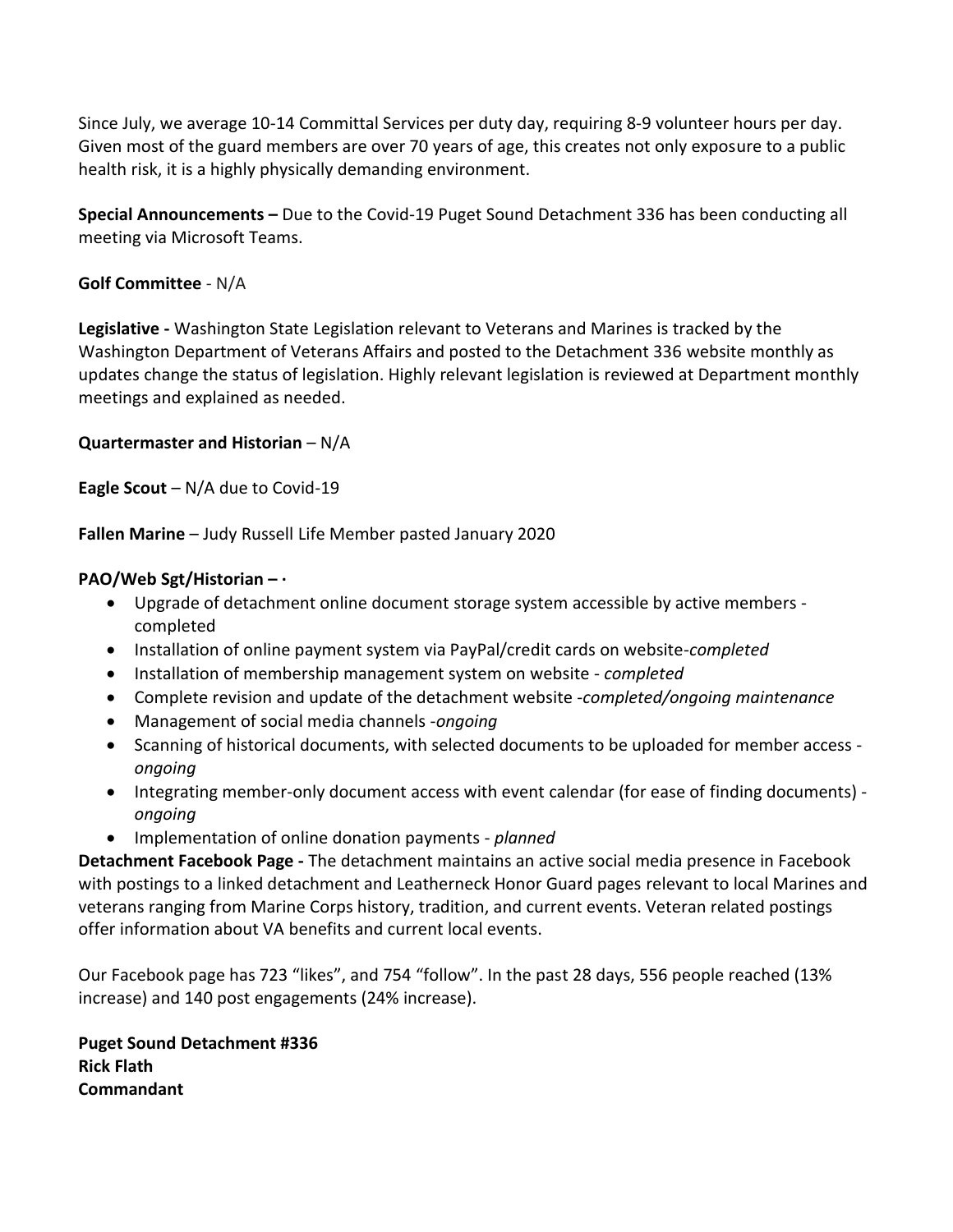Since July, we average 10-14 Committal Services per duty day, requiring 8-9 volunteer hours per day. Given most of the guard members are over 70 years of age, this creates not only exposure to a public health risk, it is a highly physically demanding environment.

**Special Announcements –** Due to the Covid-19 Puget Sound Detachment 336 has been conducting all meeting via Microsoft Teams.

# **Golf Committee** - N/A

**Legislative -** Washington State Legislation relevant to Veterans and Marines is tracked by the Washington Department of Veterans Affairs and posted to the Detachment 336 website monthly as updates change the status of legislation. Highly relevant legislation is reviewed at Department monthly meetings and explained as needed.

## **Quartermaster and Historian** – N/A

**Eagle Scout** – N/A due to Covid-19

**Fallen Marine** – Judy Russell Life Member pasted January 2020

# **PAO/Web Sgt/Historian – ·**

- Upgrade of detachment online document storage system accessible by active members completed
- Installation of online payment system via PayPal/credit cards on website-*completed*
- Installation of membership management system on website *completed*
- Complete revision and update of the detachment website -*completed/ongoing maintenance*
- Management of social media channels -*ongoing*
- Scanning of historical documents, with selected documents to be uploaded for member access *ongoing*
- Integrating member-only document access with event calendar (for ease of finding documents) *ongoing*
- Implementation of online donation payments *planned*

**Detachment Facebook Page -** The detachment maintains an active social media presence in Facebook with postings to a linked detachment and Leatherneck Honor Guard pages relevant to local Marines and veterans ranging from Marine Corps history, tradition, and current events. Veteran related postings offer information about VA benefits and current local events.

Our Facebook page has 723 "likes", and 754 "follow". In the past 28 days, 556 people reached (13% increase) and 140 post engagements (24% increase).

**Puget Sound Detachment #336 Rick Flath Commandant**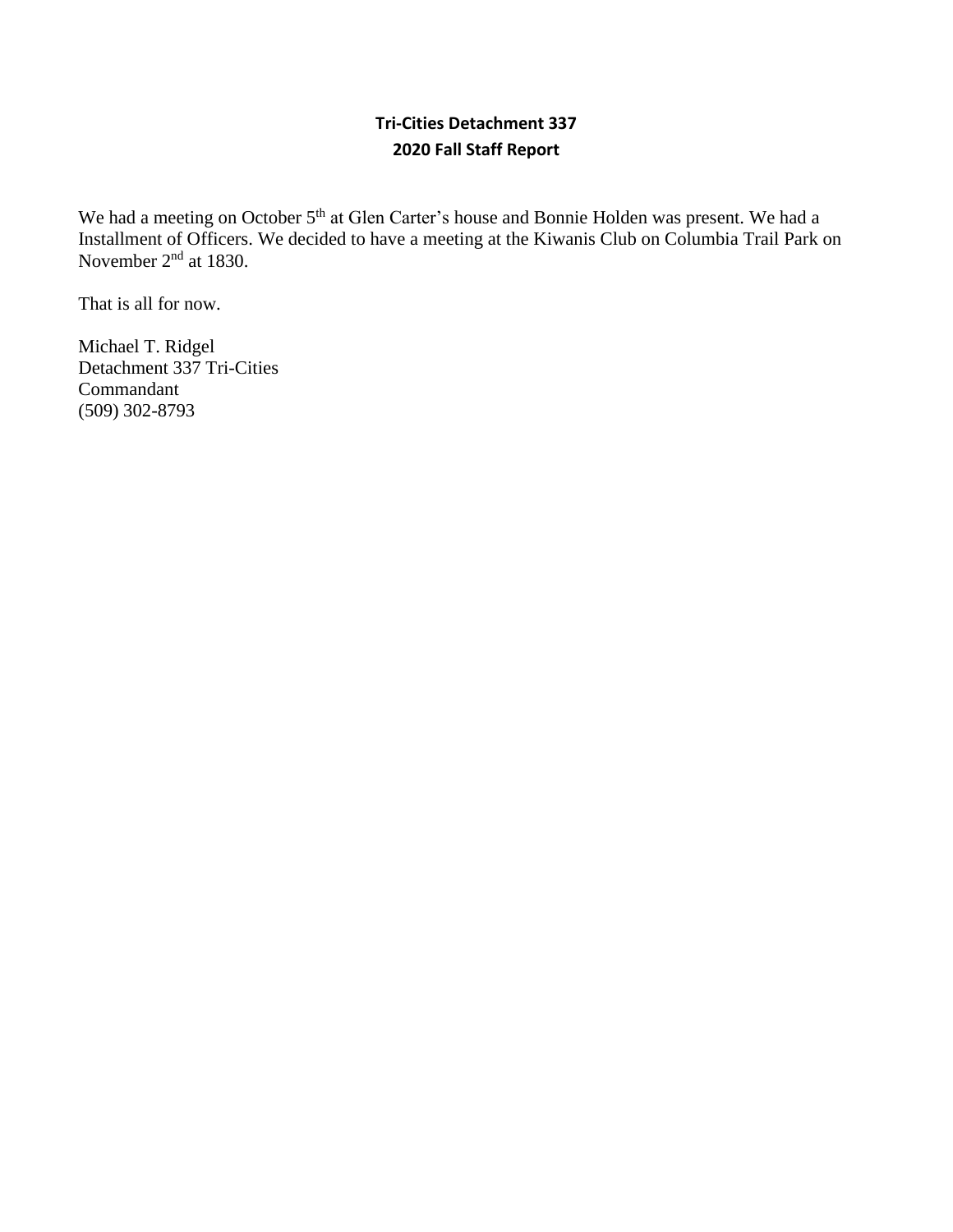# **Tri-Cities Detachment 337 2020 Fall Staff Report**

We had a meeting on October 5<sup>th</sup> at Glen Carter's house and Bonnie Holden was present. We had a Installment of Officers. We decided to have a meeting at the Kiwanis Club on Columbia Trail Park on November 2<sup>nd</sup> at 1830.

That is all for now.

Michael T. Ridgel Detachment 337 Tri-Cities Commandant (509) 302-8793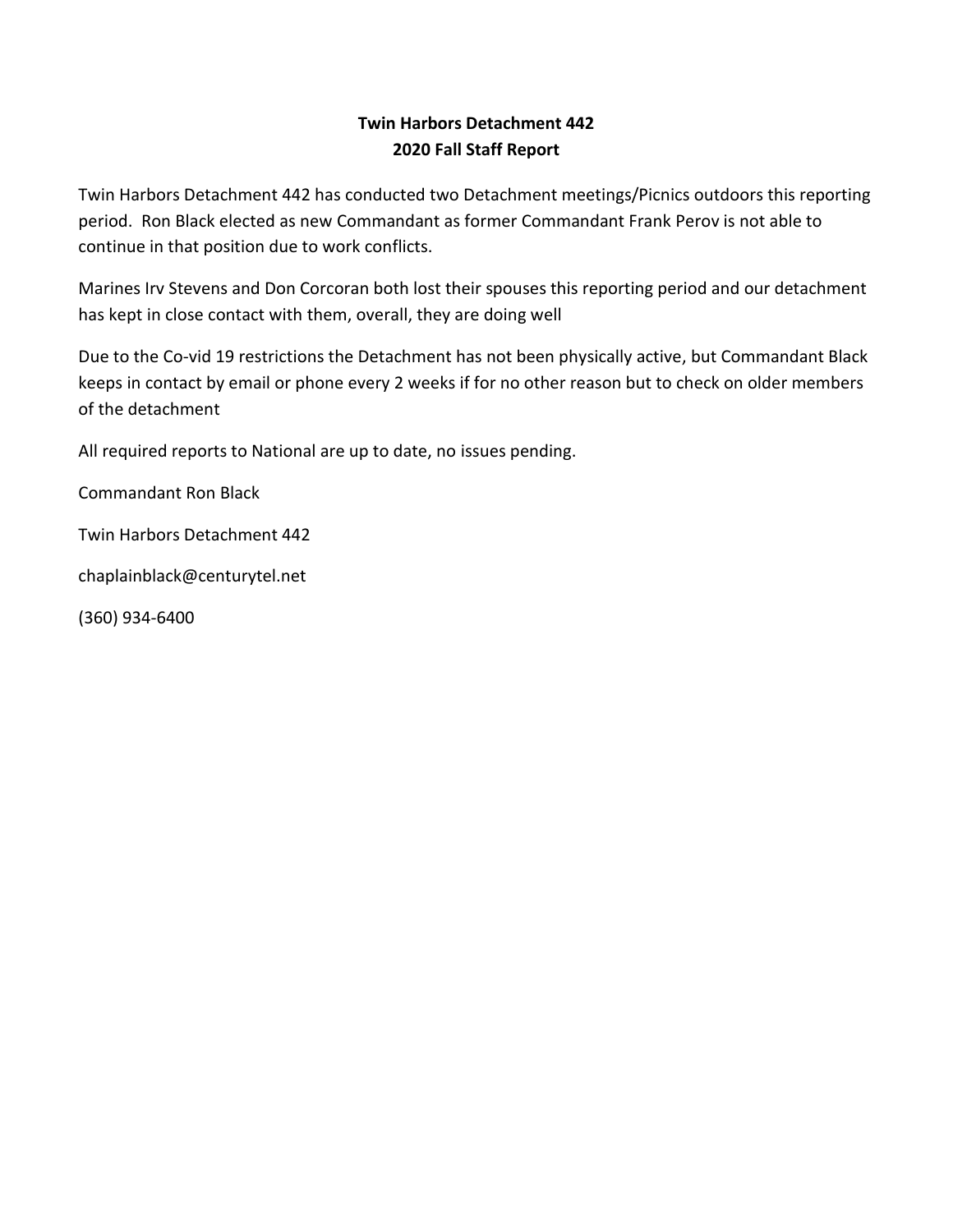# **Twin Harbors Detachment 442 2020 Fall Staff Report**

Twin Harbors Detachment 442 has conducted two Detachment meetings/Picnics outdoors this reporting period. Ron Black elected as new Commandant as former Commandant Frank Perov is not able to continue in that position due to work conflicts.

Marines Irv Stevens and Don Corcoran both lost their spouses this reporting period and our detachment has kept in close contact with them, overall, they are doing well

Due to the Co-vid 19 restrictions the Detachment has not been physically active, but Commandant Black keeps in contact by email or phone every 2 weeks if for no other reason but to check on older members of the detachment

All required reports to National are up to date, no issues pending.

Commandant Ron Black

Twin Harbors Detachment 442

chaplainblack@centurytel.net

(360) 934-6400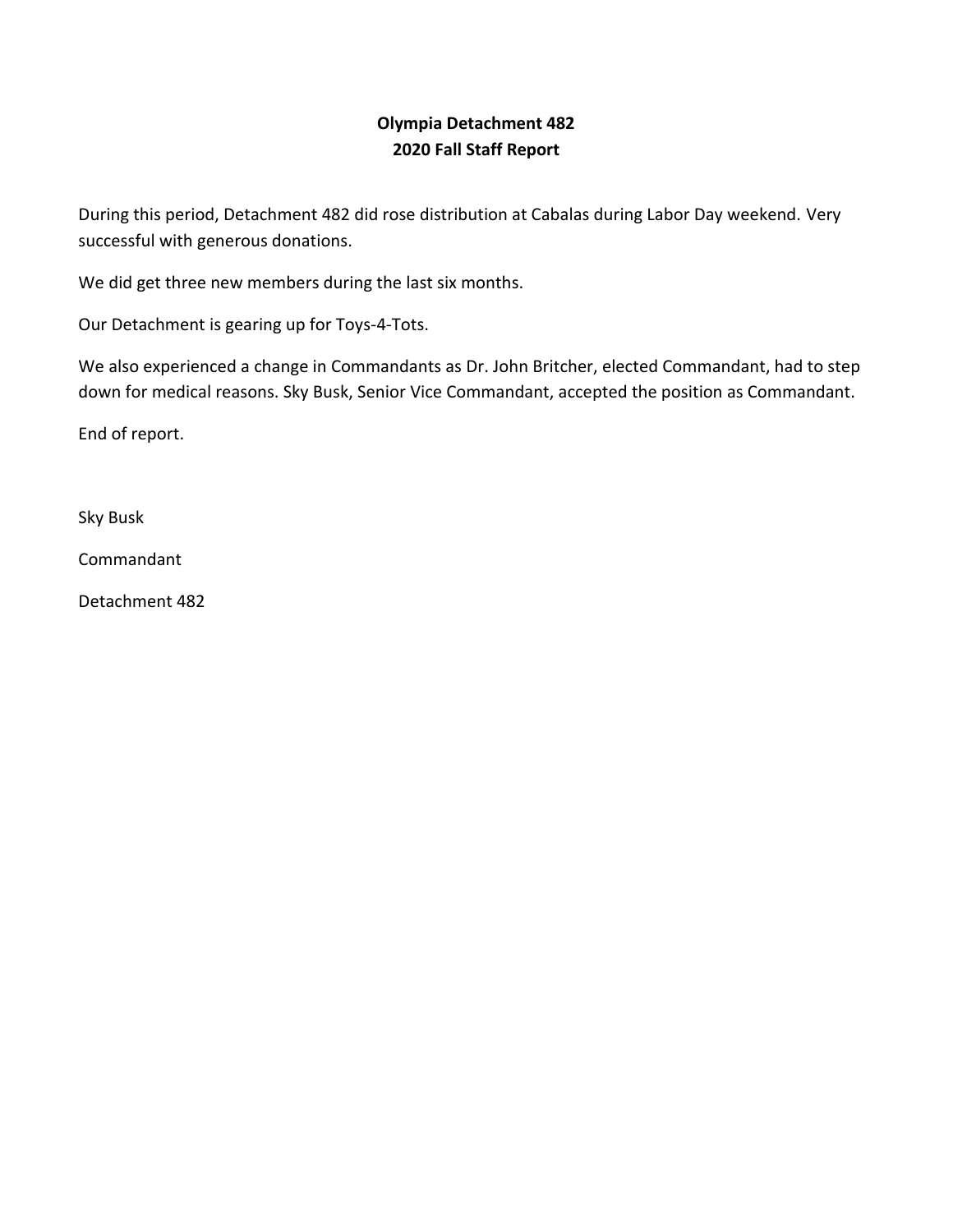# **Olympia Detachment 482 2020 Fall Staff Report**

During this period, Detachment 482 did rose distribution at Cabalas during Labor Day weekend. Very successful with generous donations.

We did get three new members during the last six months.

Our Detachment is gearing up for Toys-4-Tots.

We also experienced a change in Commandants as Dr. John Britcher, elected Commandant, had to step down for medical reasons. Sky Busk, Senior Vice Commandant, accepted the position as Commandant.

End of report.

Sky Busk

Commandant

Detachment 482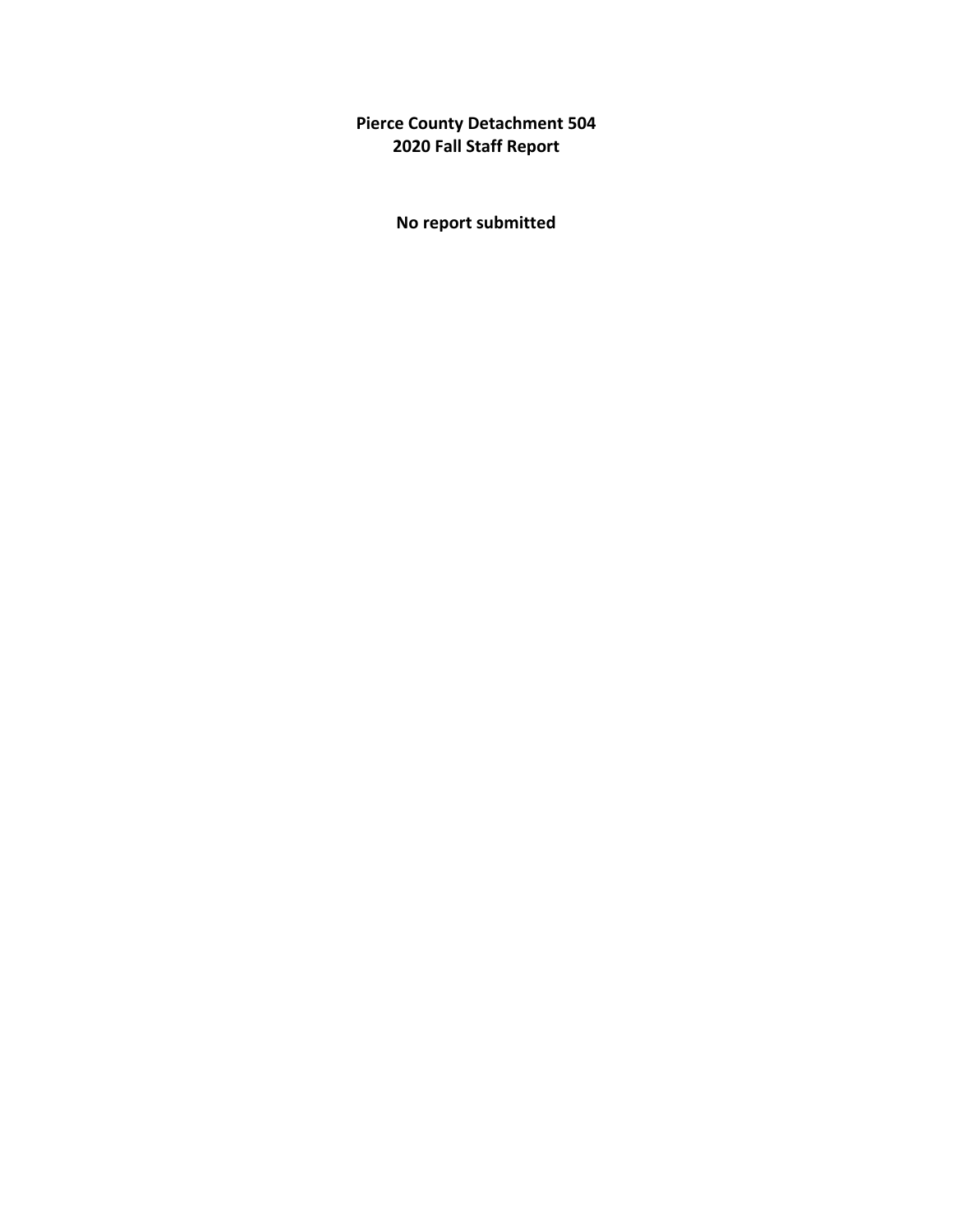**Pierce County Detachment 504 2020 Fall Staff Report**

**No report submitted**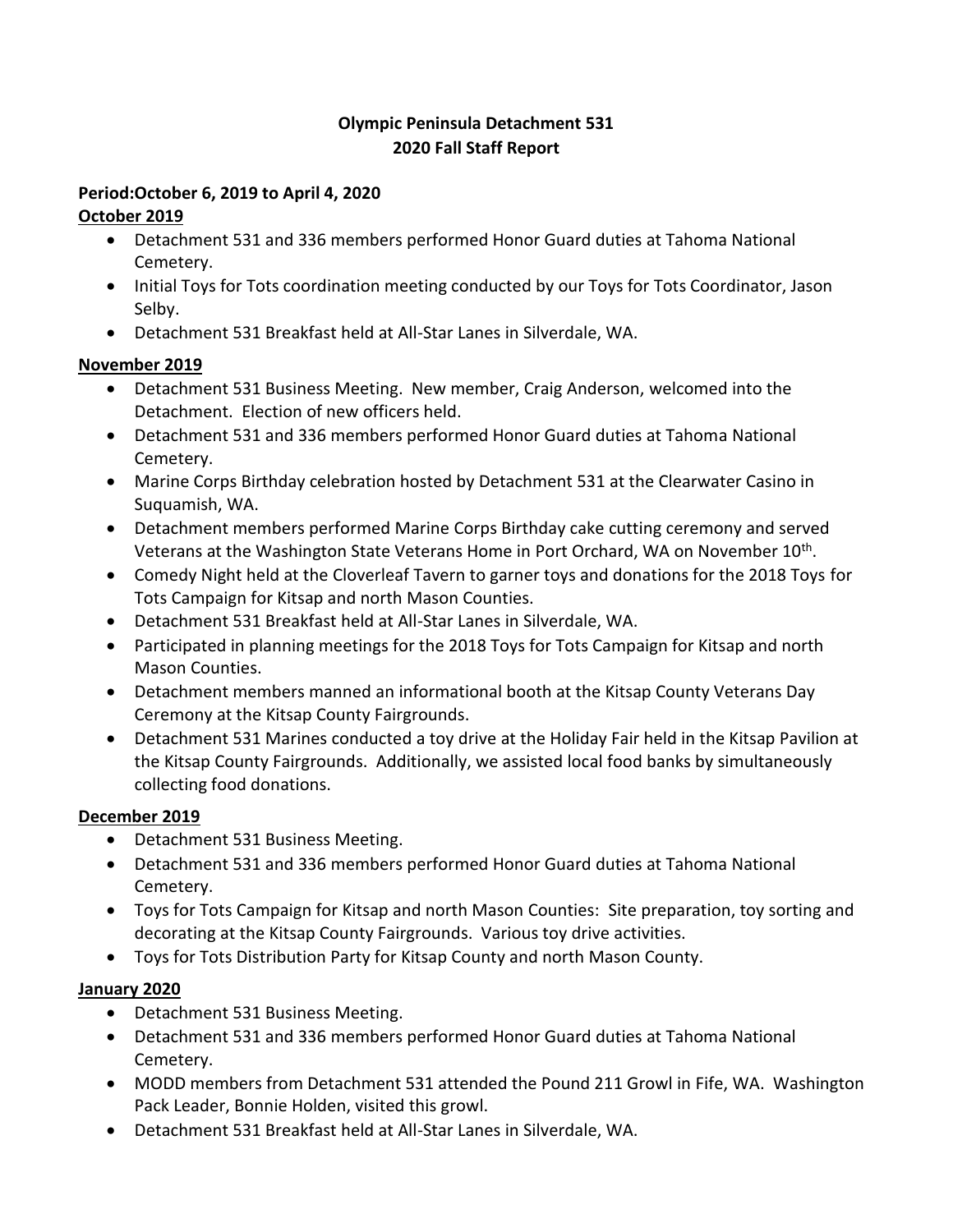# **Olympic Peninsula Detachment 531 2020 Fall Staff Report**

# **Period:October 6, 2019 to April 4, 2020**

# **October 2019**

- Detachment 531 and 336 members performed Honor Guard duties at Tahoma National Cemetery.
- Initial Toys for Tots coordination meeting conducted by our Toys for Tots Coordinator, Jason Selby.
- Detachment 531 Breakfast held at All-Star Lanes in Silverdale, WA.

# **November 2019**

- Detachment 531 Business Meeting. New member, Craig Anderson, welcomed into the Detachment. Election of new officers held.
- Detachment 531 and 336 members performed Honor Guard duties at Tahoma National Cemetery.
- Marine Corps Birthday celebration hosted by Detachment 531 at the Clearwater Casino in Suquamish, WA.
- Detachment members performed Marine Corps Birthday cake cutting ceremony and served Veterans at the Washington State Veterans Home in Port Orchard, WA on November 10<sup>th</sup>.
- Comedy Night held at the Cloverleaf Tavern to garner toys and donations for the 2018 Toys for Tots Campaign for Kitsap and north Mason Counties.
- Detachment 531 Breakfast held at All-Star Lanes in Silverdale, WA.
- Participated in planning meetings for the 2018 Toys for Tots Campaign for Kitsap and north Mason Counties.
- Detachment members manned an informational booth at the Kitsap County Veterans Day Ceremony at the Kitsap County Fairgrounds.
- Detachment 531 Marines conducted a toy drive at the Holiday Fair held in the Kitsap Pavilion at the Kitsap County Fairgrounds. Additionally, we assisted local food banks by simultaneously collecting food donations.

# **December 2019**

- Detachment 531 Business Meeting.
- Detachment 531 and 336 members performed Honor Guard duties at Tahoma National Cemetery.
- Toys for Tots Campaign for Kitsap and north Mason Counties: Site preparation, toy sorting and decorating at the Kitsap County Fairgrounds. Various toy drive activities.
- Toys for Tots Distribution Party for Kitsap County and north Mason County.

# **January 2020**

- Detachment 531 Business Meeting.
- Detachment 531 and 336 members performed Honor Guard duties at Tahoma National Cemetery.
- MODD members from Detachment 531 attended the Pound 211 Growl in Fife, WA. Washington Pack Leader, Bonnie Holden, visited this growl.
- Detachment 531 Breakfast held at All-Star Lanes in Silverdale, WA.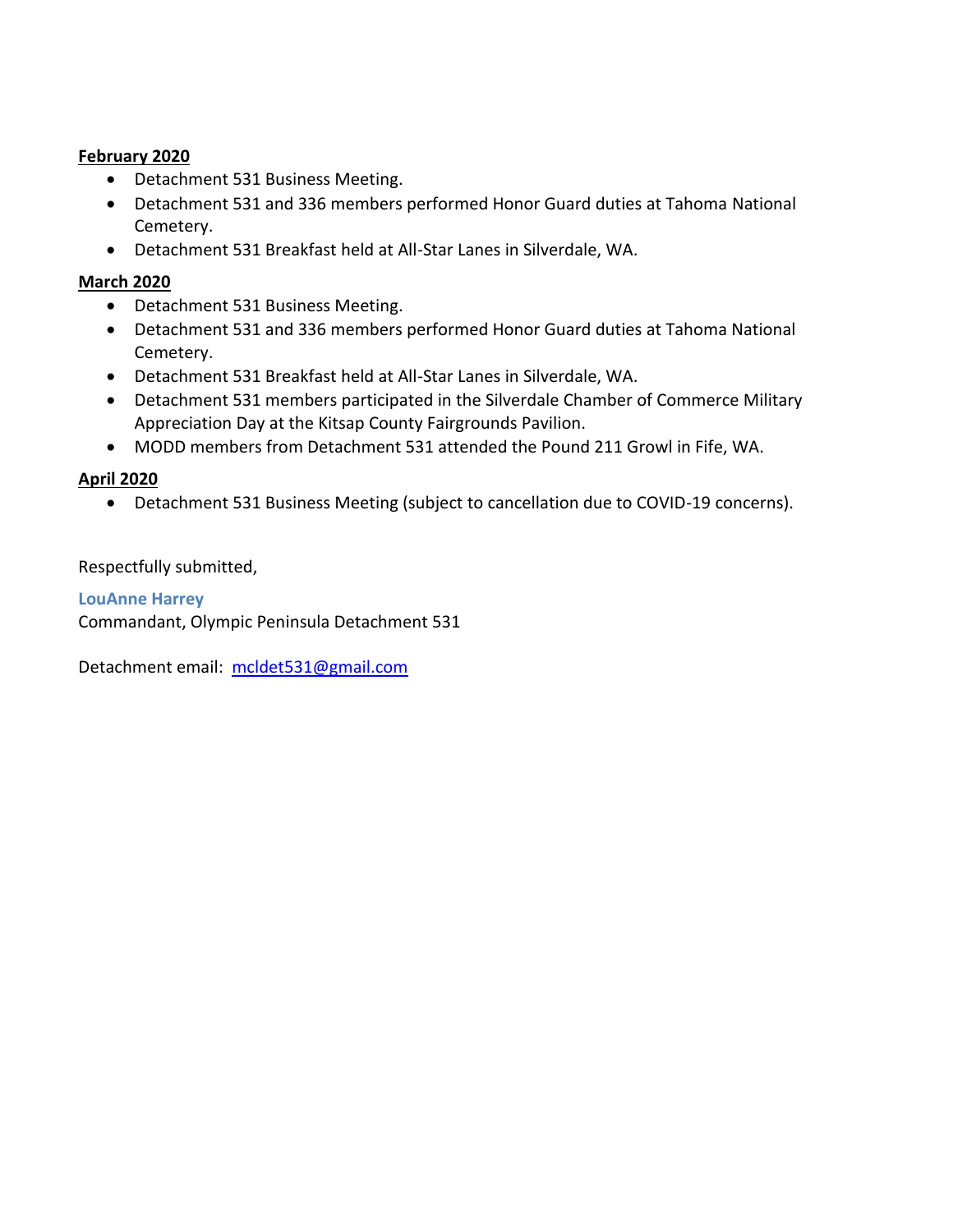#### **February 2020**

- Detachment 531 Business Meeting.
- Detachment 531 and 336 members performed Honor Guard duties at Tahoma National Cemetery.
- Detachment 531 Breakfast held at All-Star Lanes in Silverdale, WA.

### **March 2020**

- Detachment 531 Business Meeting.
- Detachment 531 and 336 members performed Honor Guard duties at Tahoma National Cemetery.
- Detachment 531 Breakfast held at All-Star Lanes in Silverdale, WA.
- Detachment 531 members participated in the Silverdale Chamber of Commerce Military Appreciation Day at the Kitsap County Fairgrounds Pavilion.
- MODD members from Detachment 531 attended the Pound 211 Growl in Fife, WA.

## **April 2020**

• Detachment 531 Business Meeting (subject to cancellation due to COVID-19 concerns).

#### Respectfully submitted,

**LouAnne Harrey** Commandant, Olympic Peninsula Detachment 531

Detachment email: [mcldet531@gmail.com](mailto:mcldet531@gmail.com)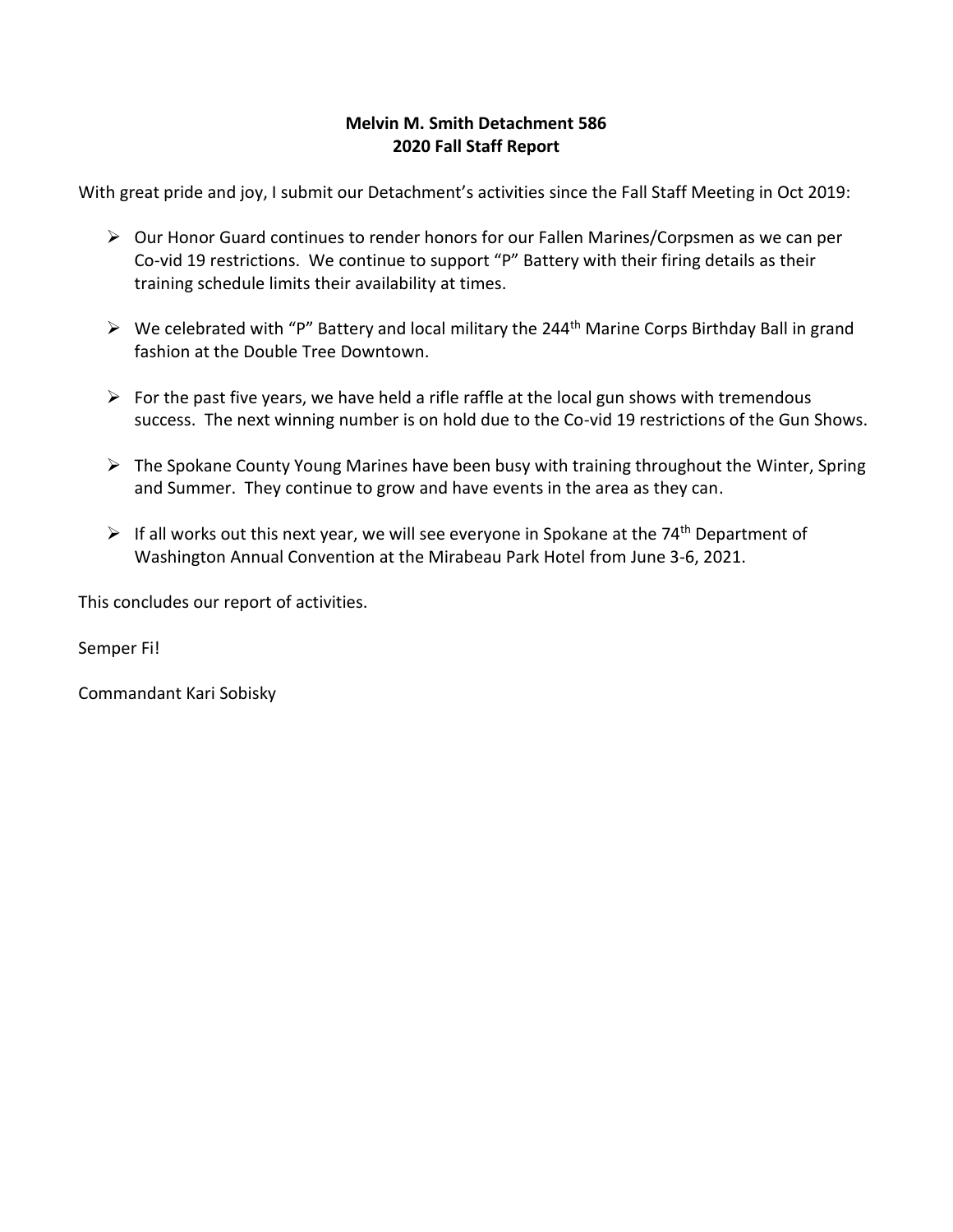## **Melvin M. Smith Detachment 586 2020 Fall Staff Report**

With great pride and joy, I submit our Detachment's activities since the Fall Staff Meeting in Oct 2019:

- ➢ Our Honor Guard continues to render honors for our Fallen Marines/Corpsmen as we can per Co-vid 19 restrictions. We continue to support "P" Battery with their firing details as their training schedule limits their availability at times.
- $\triangleright$  We celebrated with "P" Battery and local military the 244<sup>th</sup> Marine Corps Birthday Ball in grand fashion at the Double Tree Downtown.
- $\triangleright$  For the past five years, we have held a rifle raffle at the local gun shows with tremendous success. The next winning number is on hold due to the Co-vid 19 restrictions of the Gun Shows.
- ➢ The Spokane County Young Marines have been busy with training throughout the Winter, Spring and Summer. They continue to grow and have events in the area as they can.
- $\triangleright$  If all works out this next year, we will see everyone in Spokane at the 74<sup>th</sup> Department of Washington Annual Convention at the Mirabeau Park Hotel from June 3-6, 2021.

This concludes our report of activities.

Semper Fi!

Commandant Kari Sobisky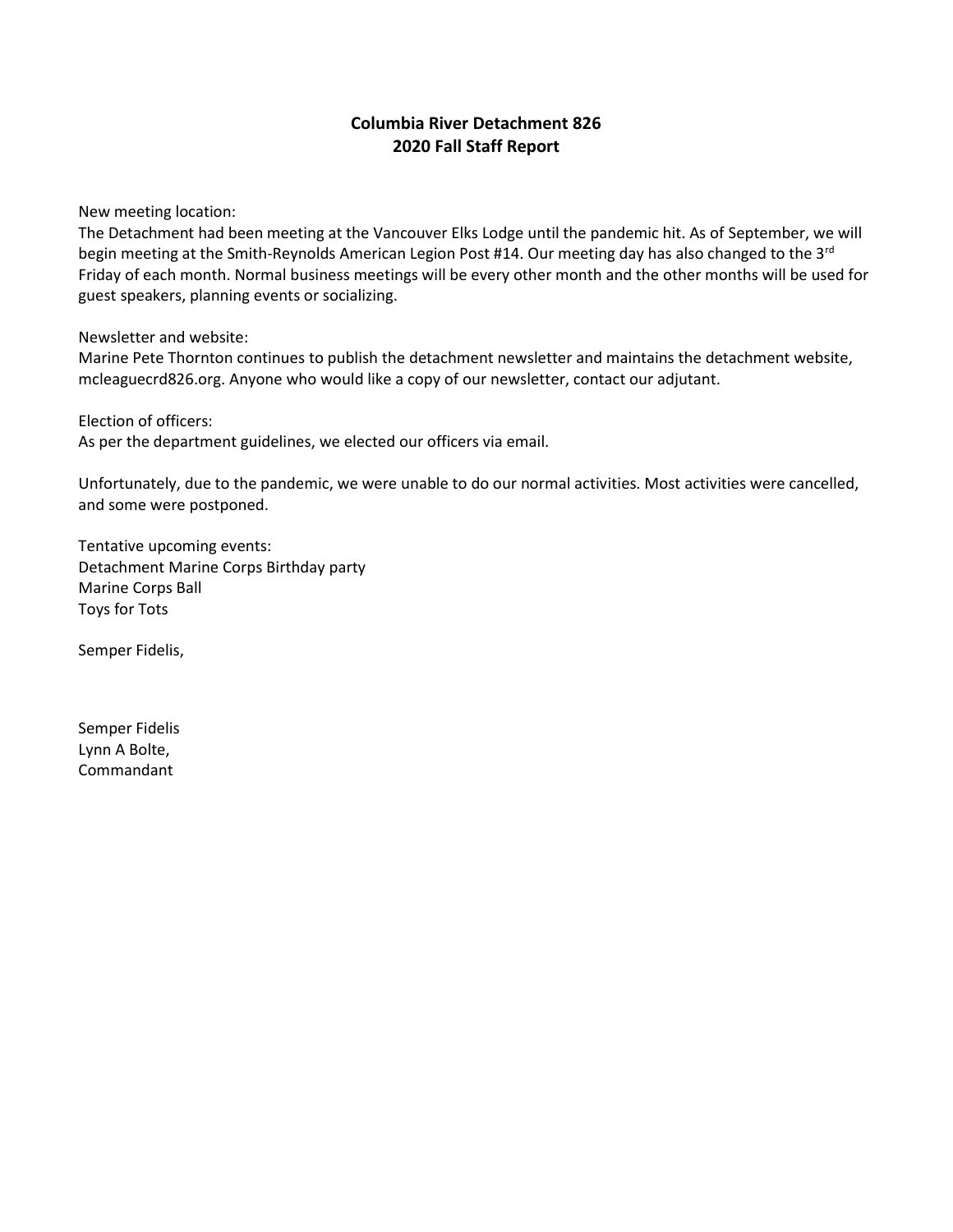### **Columbia River Detachment 826 2020 Fall Staff Report**

New meeting location:

The Detachment had been meeting at the Vancouver Elks Lodge until the pandemic hit. As of September, we will begin meeting at the Smith-Reynolds American Legion Post #14. Our meeting day has also changed to the 3<sup>rd</sup> Friday of each month. Normal business meetings will be every other month and the other months will be used for guest speakers, planning events or socializing.

Newsletter and website:

Marine Pete Thornton continues to publish the detachment newsletter and maintains the detachment website, mcleaguecrd826.org. Anyone who would like a copy of our newsletter, contact our adjutant.

Election of officers: As per the department guidelines, we elected our officers via email.

Unfortunately, due to the pandemic, we were unable to do our normal activities. Most activities were cancelled, and some were postponed.

Tentative upcoming events: Detachment Marine Corps Birthday party Marine Corps Ball Toys for Tots

Semper Fidelis,

Semper Fidelis Lynn A Bolte, Commandant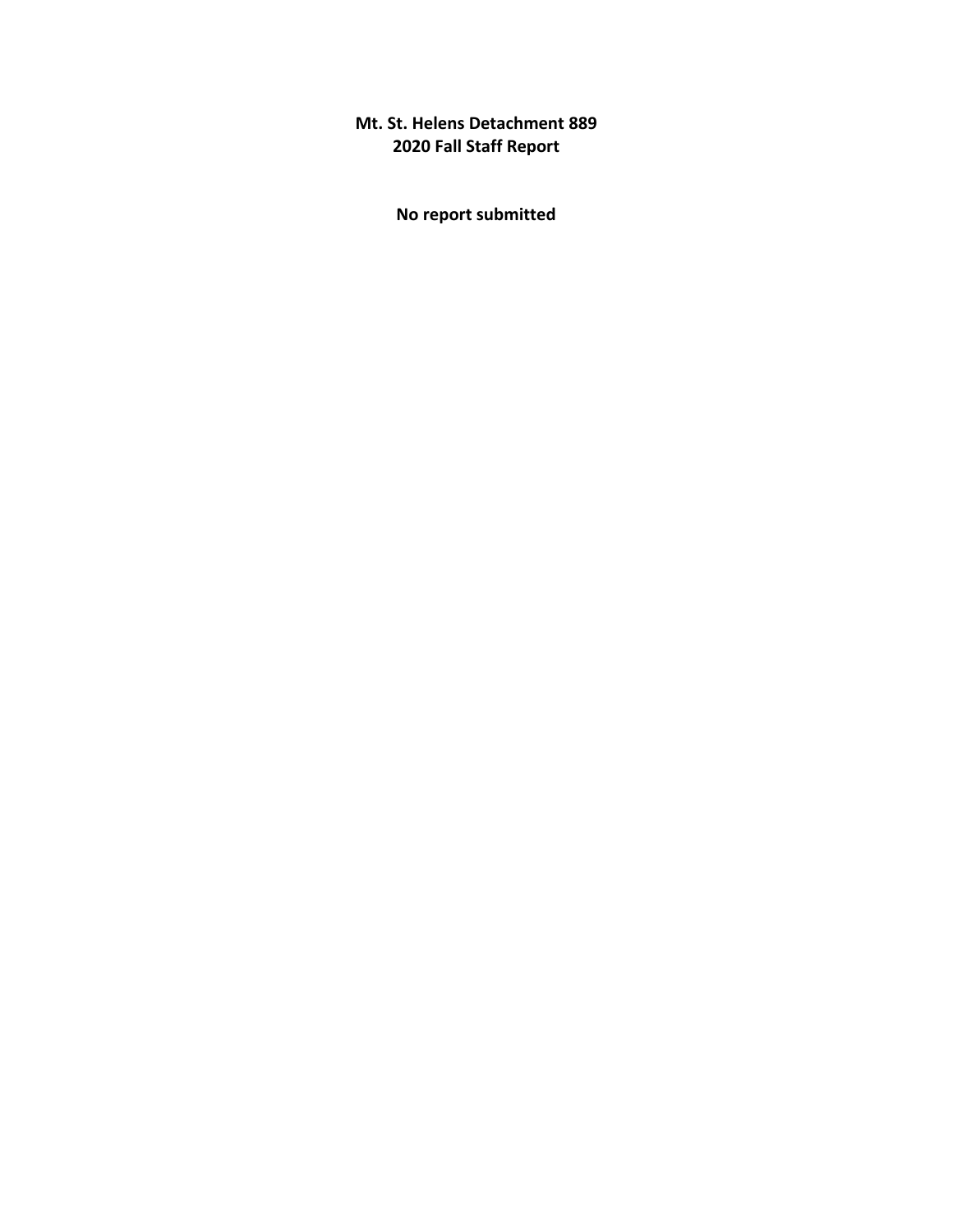# **Mt. St. Helens Detachment 889 2020 Fall Staff Report**

**No report submitted**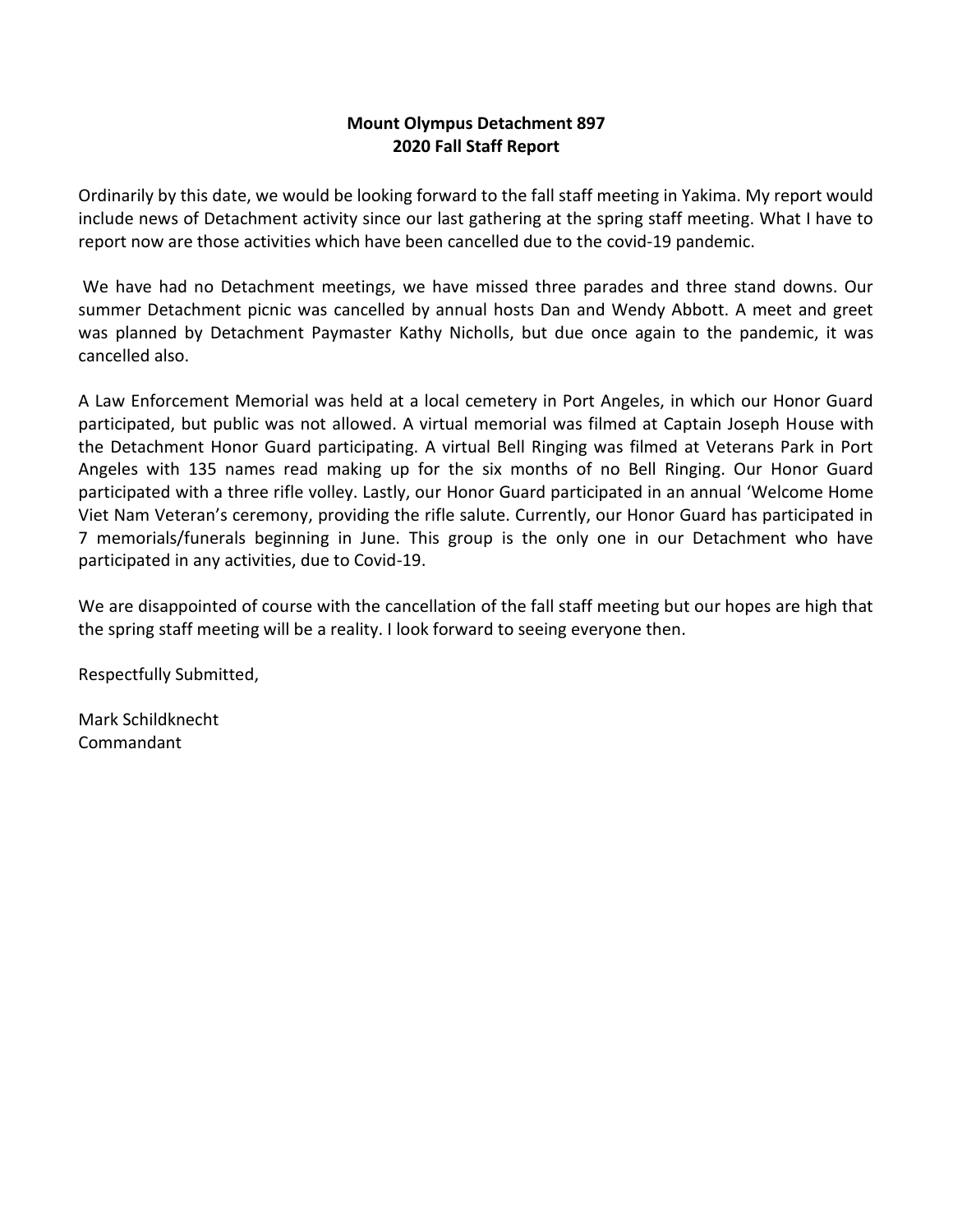## **Mount Olympus Detachment 897 2020 Fall Staff Report**

Ordinarily by this date, we would be looking forward to the fall staff meeting in Yakima. My report would include news of Detachment activity since our last gathering at the spring staff meeting. What I have to report now are those activities which have been cancelled due to the covid-19 pandemic.

We have had no Detachment meetings, we have missed three parades and three stand downs. Our summer Detachment picnic was cancelled by annual hosts Dan and Wendy Abbott. A meet and greet was planned by Detachment Paymaster Kathy Nicholls, but due once again to the pandemic, it was cancelled also.

A Law Enforcement Memorial was held at a local cemetery in Port Angeles, in which our Honor Guard participated, but public was not allowed. A virtual memorial was filmed at Captain Joseph House with the Detachment Honor Guard participating. A virtual Bell Ringing was filmed at Veterans Park in Port Angeles with 135 names read making up for the six months of no Bell Ringing. Our Honor Guard participated with a three rifle volley. Lastly, our Honor Guard participated in an annual 'Welcome Home Viet Nam Veteran's ceremony, providing the rifle salute. Currently, our Honor Guard has participated in 7 memorials/funerals beginning in June. This group is the only one in our Detachment who have participated in any activities, due to Covid-19.

We are disappointed of course with the cancellation of the fall staff meeting but our hopes are high that the spring staff meeting will be a reality. I look forward to seeing everyone then.

Respectfully Submitted,

Mark Schildknecht Commandant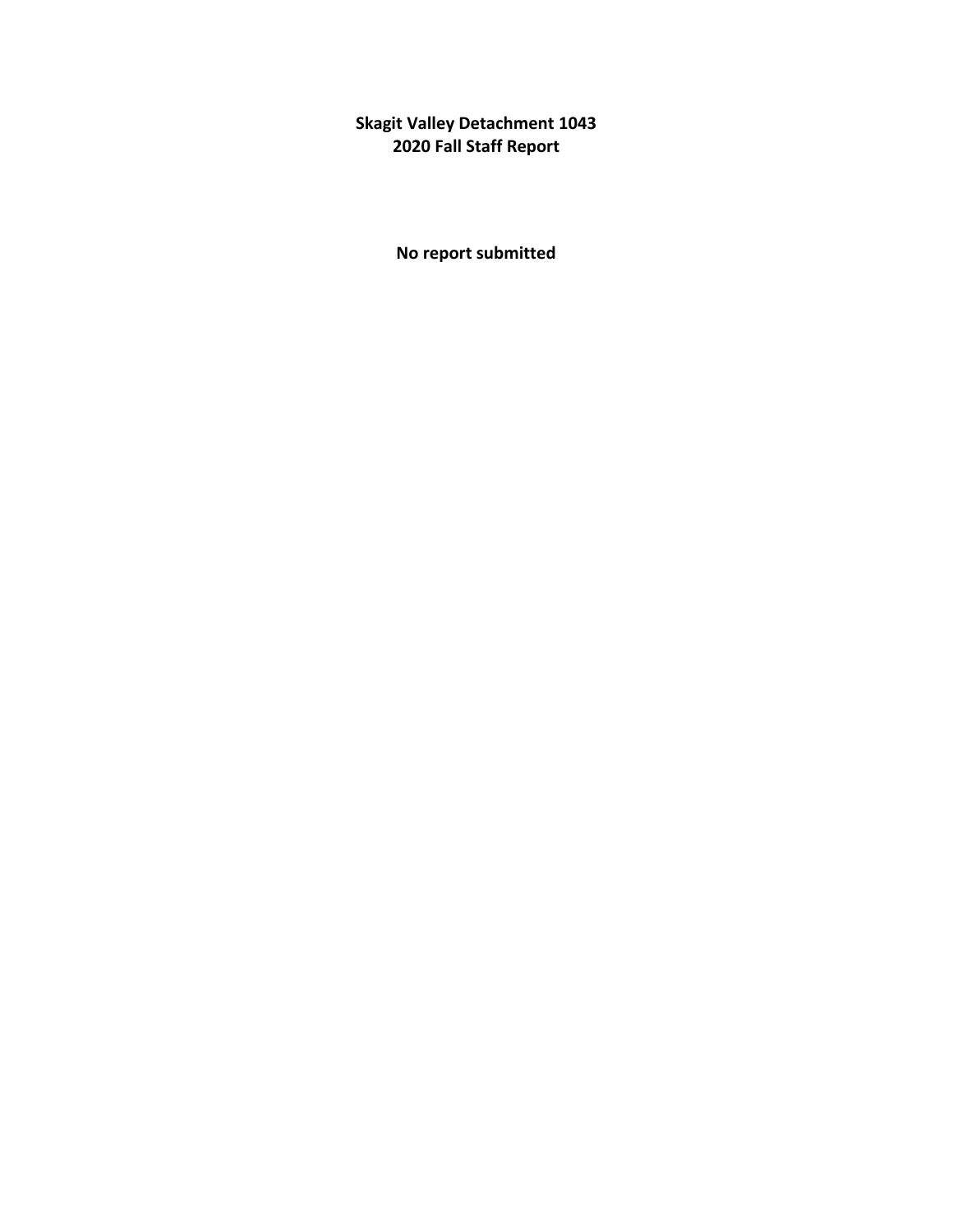**Skagit Valley Detachment 1043 2020 Fall Staff Report**

**No report submitted**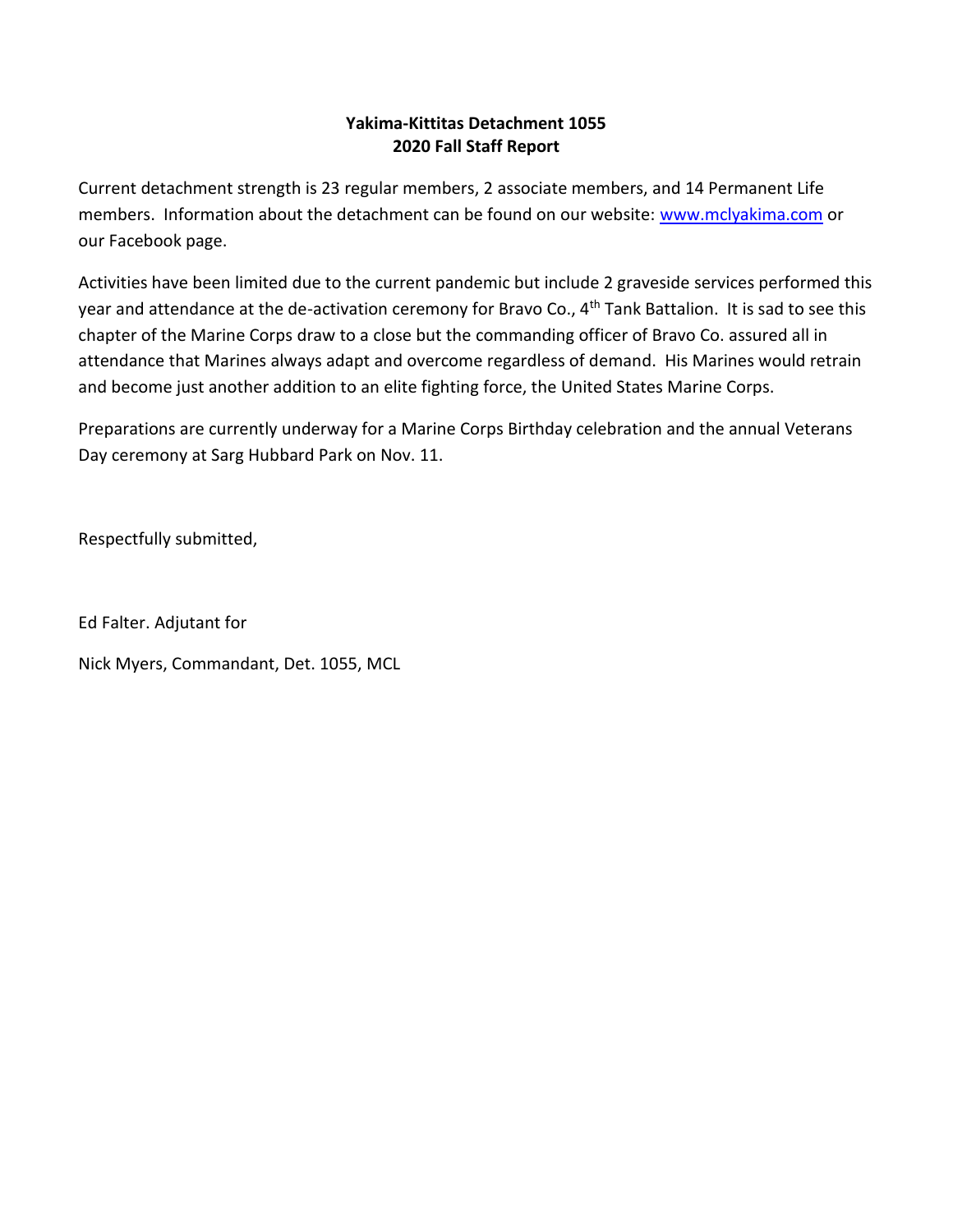## **Yakima-Kittitas Detachment 1055 2020 Fall Staff Report**

Current detachment strength is 23 regular members, 2 associate members, and 14 Permanent Life members. Information about the detachment can be found on our website: [www.mclyakima.com](http://www.mclyakima.com/) or our Facebook page.

Activities have been limited due to the current pandemic but include 2 graveside services performed this year and attendance at the de-activation ceremony for Bravo Co., 4<sup>th</sup> Tank Battalion. It is sad to see this chapter of the Marine Corps draw to a close but the commanding officer of Bravo Co. assured all in attendance that Marines always adapt and overcome regardless of demand. His Marines would retrain and become just another addition to an elite fighting force, the United States Marine Corps.

Preparations are currently underway for a Marine Corps Birthday celebration and the annual Veterans Day ceremony at Sarg Hubbard Park on Nov. 11.

Respectfully submitted,

Ed Falter. Adjutant for

Nick Myers, Commandant, Det. 1055, MCL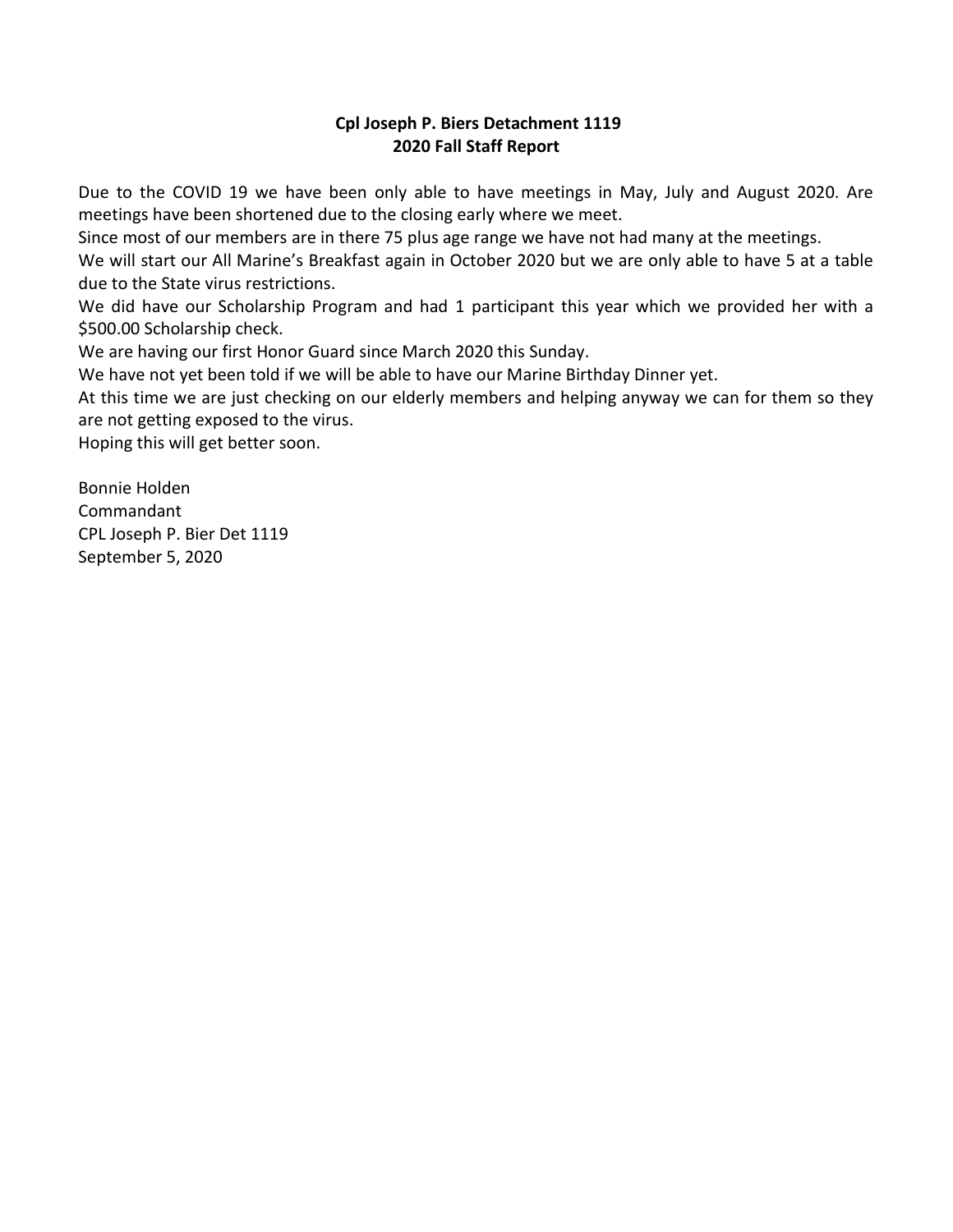### **Cpl Joseph P. Biers Detachment 1119 2020 Fall Staff Report**

Due to the COVID 19 we have been only able to have meetings in May, July and August 2020. Are meetings have been shortened due to the closing early where we meet.

Since most of our members are in there 75 plus age range we have not had many at the meetings.

We will start our All Marine's Breakfast again in October 2020 but we are only able to have 5 at a table due to the State virus restrictions.

We did have our Scholarship Program and had 1 participant this year which we provided her with a \$500.00 Scholarship check.

We are having our first Honor Guard since March 2020 this Sunday.

We have not yet been told if we will be able to have our Marine Birthday Dinner yet.

At this time we are just checking on our elderly members and helping anyway we can for them so they are not getting exposed to the virus.

Hoping this will get better soon.

Bonnie Holden Commandant CPL Joseph P. Bier Det 1119 September 5, 2020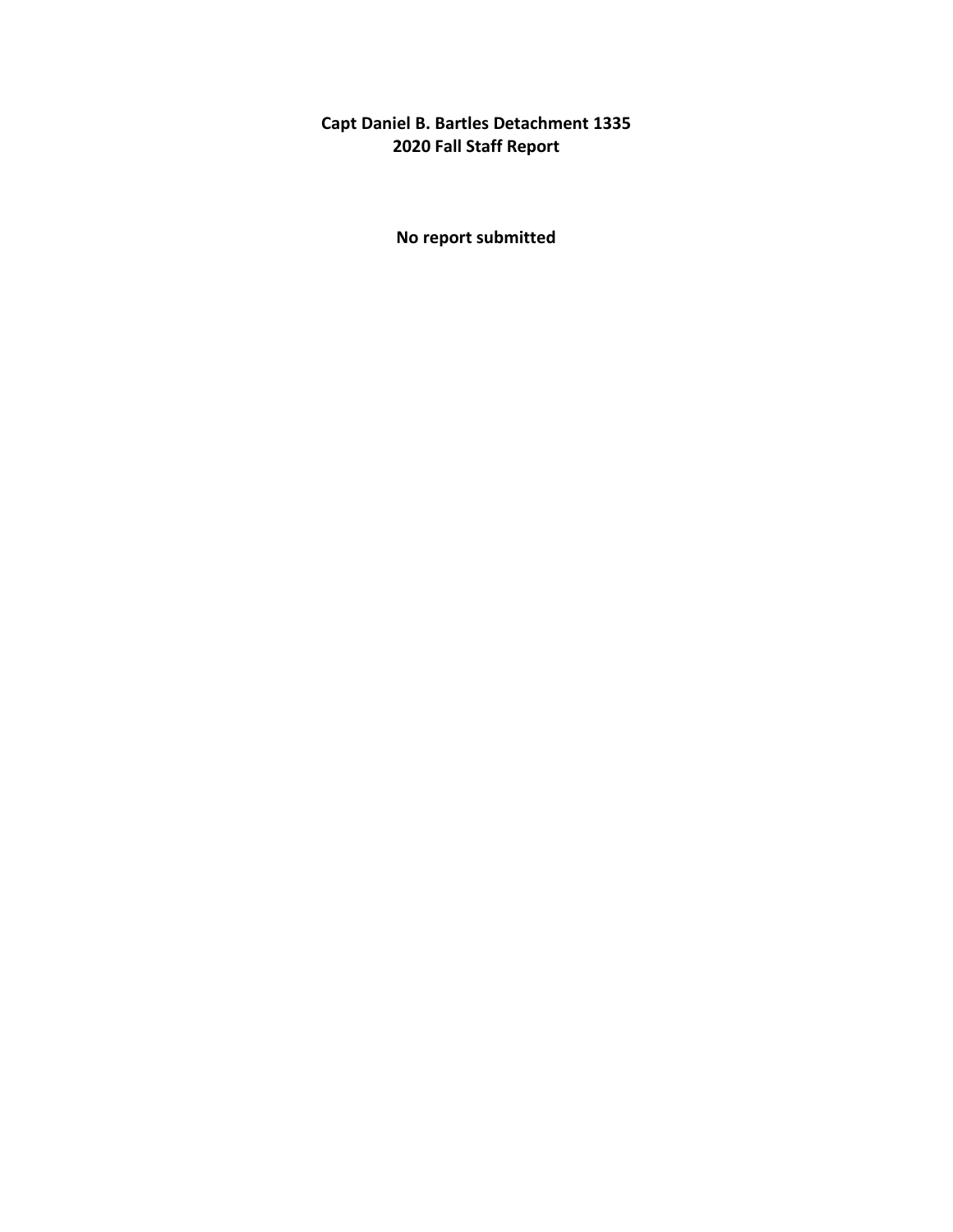**Capt Daniel B. Bartles Detachment 1335 2020 Fall Staff Report**

**No report submitted**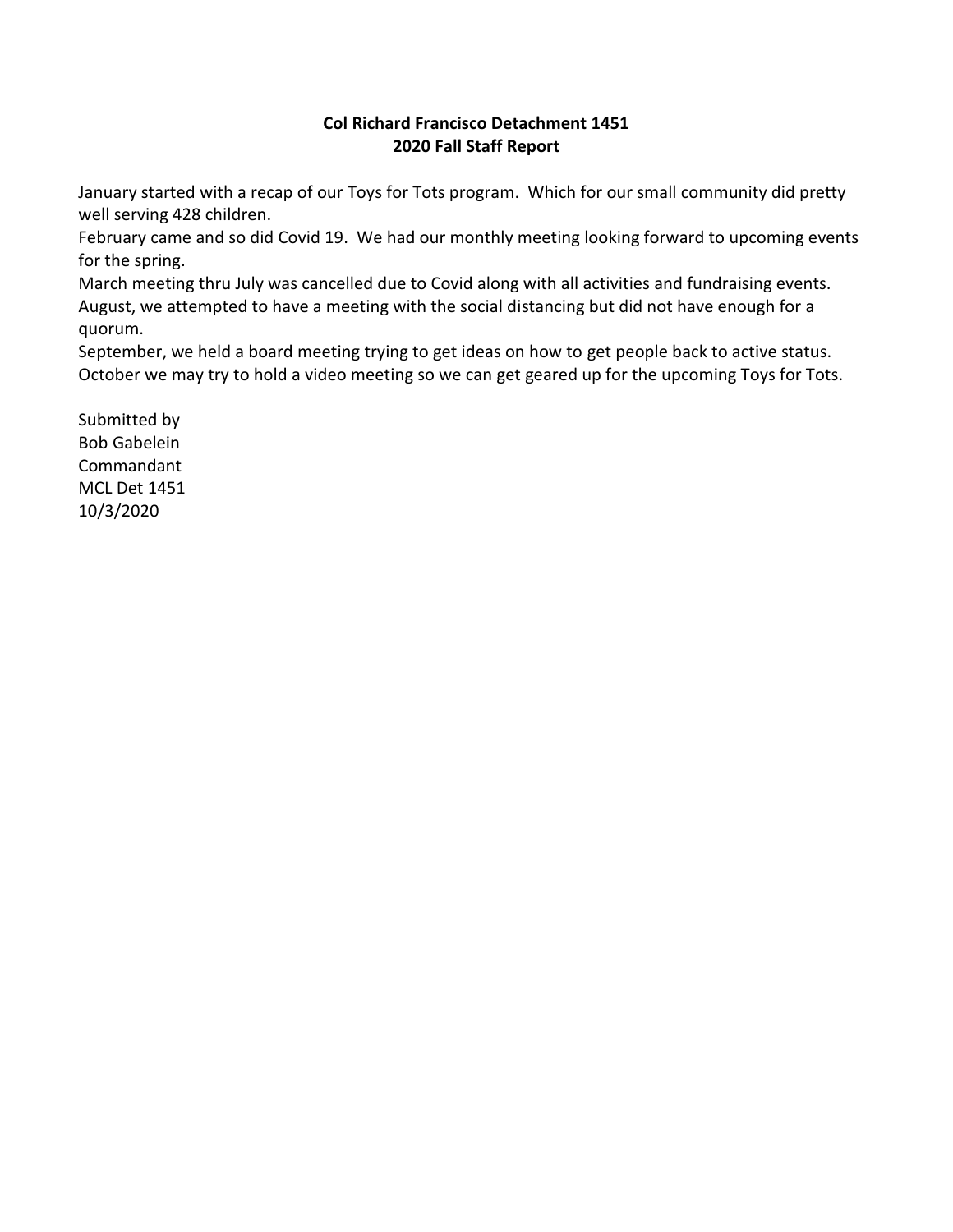## **Col Richard Francisco Detachment 1451 2020 Fall Staff Report**

January started with a recap of our Toys for Tots program. Which for our small community did pretty well serving 428 children.

February came and so did Covid 19. We had our monthly meeting looking forward to upcoming events for the spring.

March meeting thru July was cancelled due to Covid along with all activities and fundraising events. August, we attempted to have a meeting with the social distancing but did not have enough for a quorum.

September, we held a board meeting trying to get ideas on how to get people back to active status. October we may try to hold a video meeting so we can get geared up for the upcoming Toys for Tots.

Submitted by Bob Gabelein Commandant MCL Det 1451 10/3/2020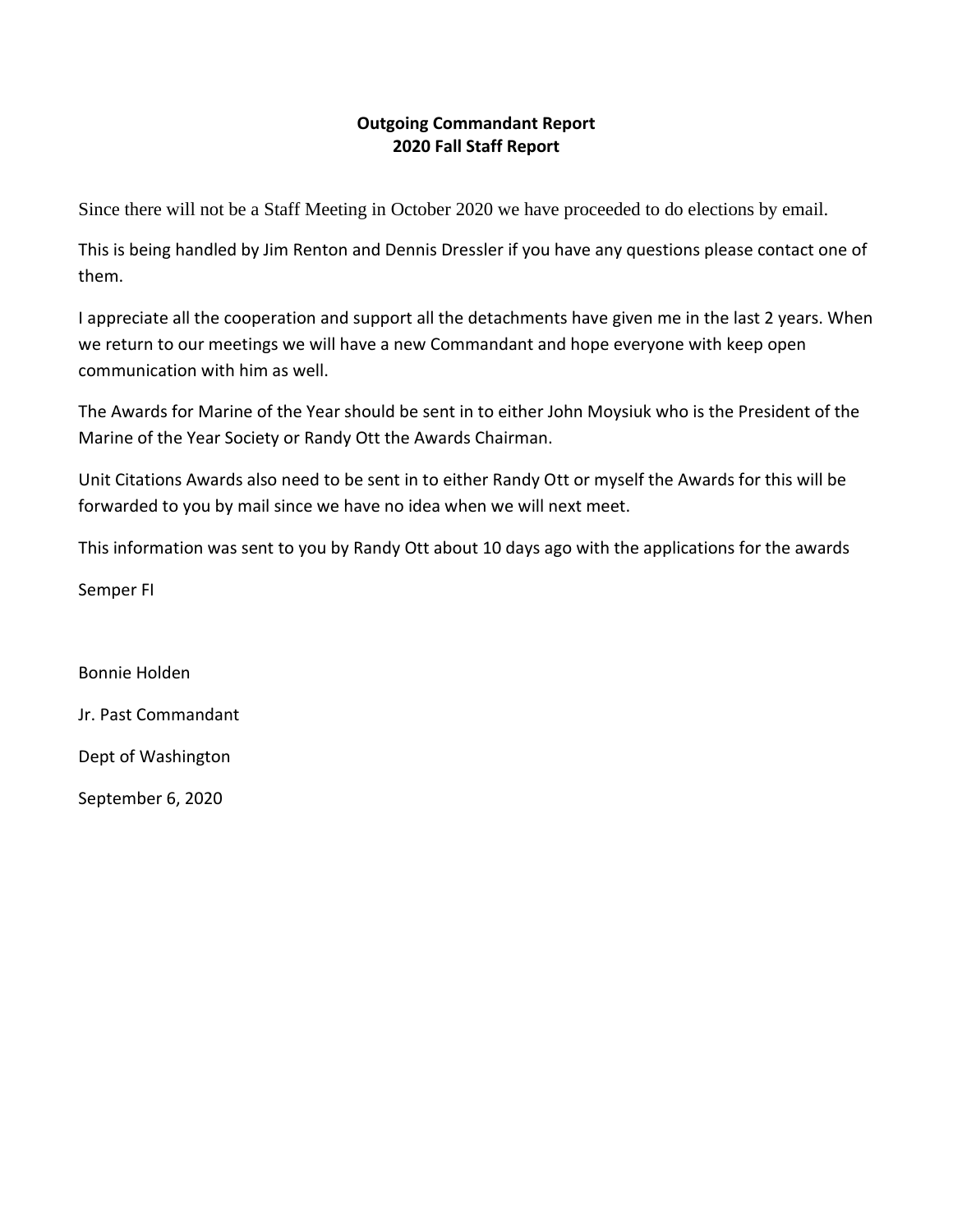# **Outgoing Commandant Report 2020 Fall Staff Report**

Since there will not be a Staff Meeting in October 2020 we have proceeded to do elections by email.

This is being handled by Jim Renton and Dennis Dressler if you have any questions please contact one of them.

I appreciate all the cooperation and support all the detachments have given me in the last 2 years. When we return to our meetings we will have a new Commandant and hope everyone with keep open communication with him as well.

The Awards for Marine of the Year should be sent in to either John Moysiuk who is the President of the Marine of the Year Society or Randy Ott the Awards Chairman.

Unit Citations Awards also need to be sent in to either Randy Ott or myself the Awards for this will be forwarded to you by mail since we have no idea when we will next meet.

This information was sent to you by Randy Ott about 10 days ago with the applications for the awards

Semper FI

Bonnie Holden Jr. Past Commandant Dept of Washington

September 6, 2020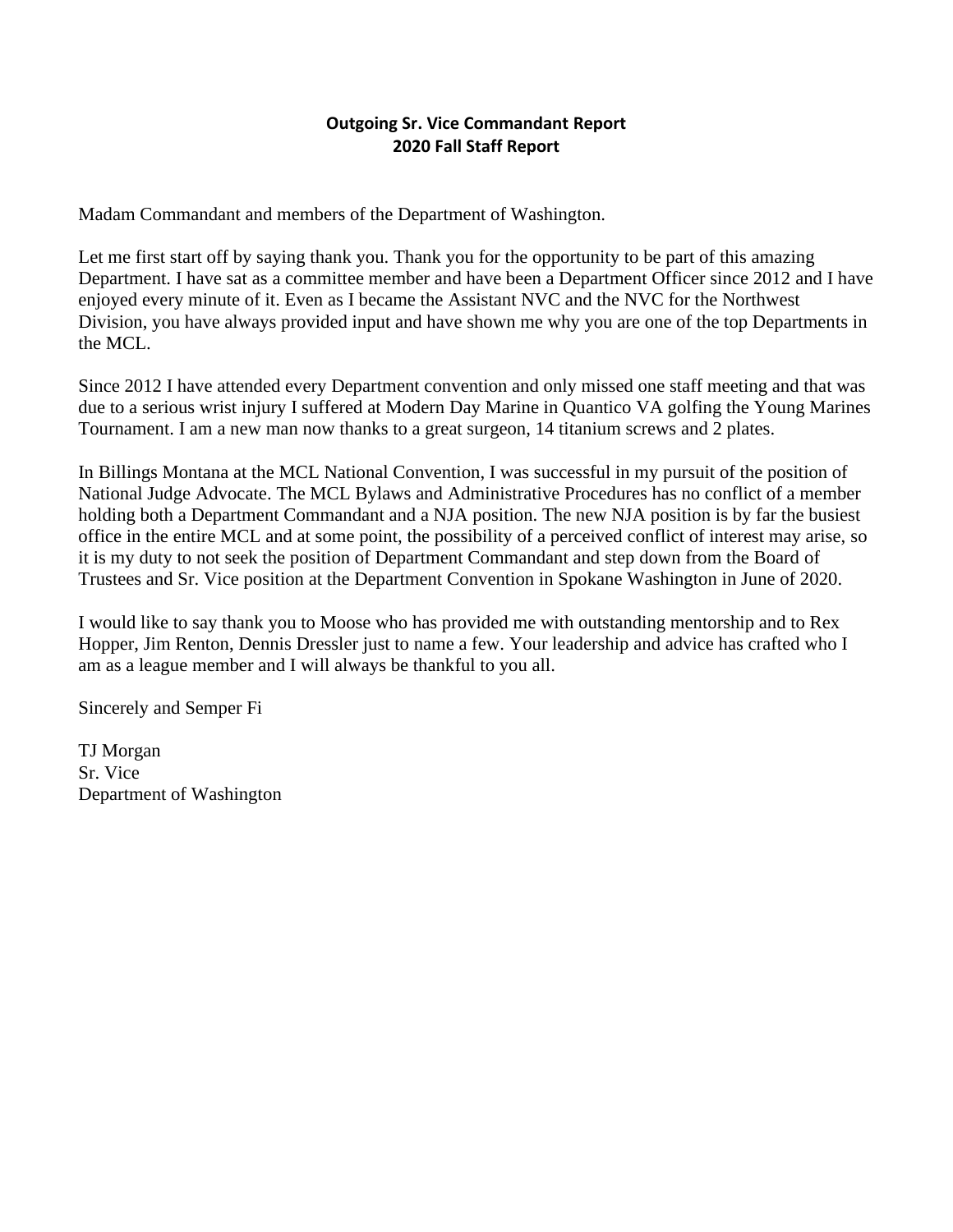## **Outgoing Sr. Vice Commandant Report 2020 Fall Staff Report**

Madam Commandant and members of the Department of Washington.

Let me first start off by saying thank you. Thank you for the opportunity to be part of this amazing Department. I have sat as a committee member and have been a Department Officer since 2012 and I have enjoyed every minute of it. Even as I became the Assistant NVC and the NVC for the Northwest Division, you have always provided input and have shown me why you are one of the top Departments in the MCL.

Since 2012 I have attended every Department convention and only missed one staff meeting and that was due to a serious wrist injury I suffered at Modern Day Marine in Quantico VA golfing the Young Marines Tournament. I am a new man now thanks to a great surgeon, 14 titanium screws and 2 plates.

In Billings Montana at the MCL National Convention, I was successful in my pursuit of the position of National Judge Advocate. The MCL Bylaws and Administrative Procedures has no conflict of a member holding both a Department Commandant and a NJA position. The new NJA position is by far the busiest office in the entire MCL and at some point, the possibility of a perceived conflict of interest may arise, so it is my duty to not seek the position of Department Commandant and step down from the Board of Trustees and Sr. Vice position at the Department Convention in Spokane Washington in June of 2020.

I would like to say thank you to Moose who has provided me with outstanding mentorship and to Rex Hopper, Jim Renton, Dennis Dressler just to name a few. Your leadership and advice has crafted who I am as a league member and I will always be thankful to you all.

Sincerely and Semper Fi

TJ Morgan Sr. Vice Department of Washington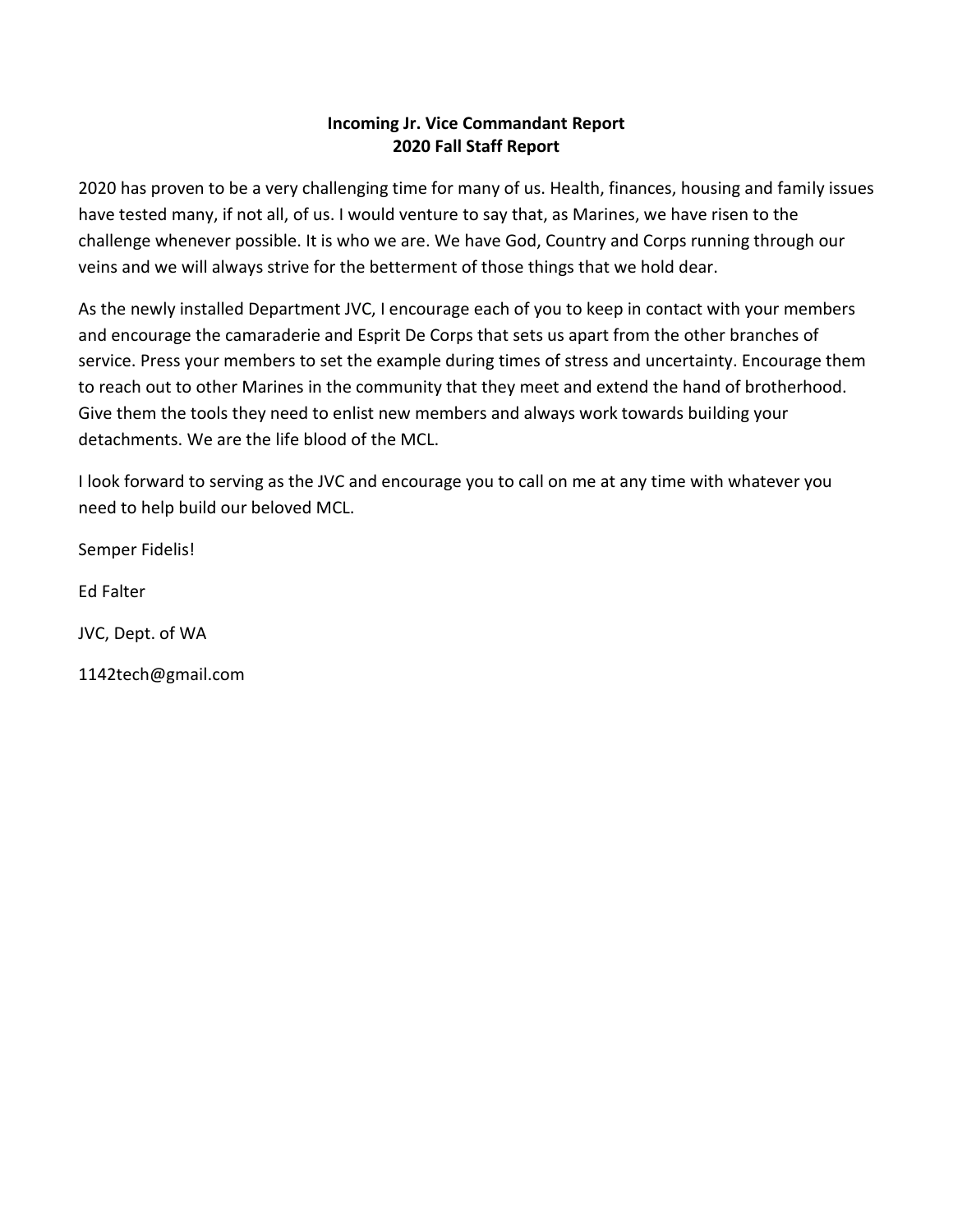## **Incoming Jr. Vice Commandant Report 2020 Fall Staff Report**

2020 has proven to be a very challenging time for many of us. Health, finances, housing and family issues have tested many, if not all, of us. I would venture to say that, as Marines, we have risen to the challenge whenever possible. It is who we are. We have God, Country and Corps running through our veins and we will always strive for the betterment of those things that we hold dear.

As the newly installed Department JVC, I encourage each of you to keep in contact with your members and encourage the camaraderie and Esprit De Corps that sets us apart from the other branches of service. Press your members to set the example during times of stress and uncertainty. Encourage them to reach out to other Marines in the community that they meet and extend the hand of brotherhood. Give them the tools they need to enlist new members and always work towards building your detachments. We are the life blood of the MCL.

I look forward to serving as the JVC and encourage you to call on me at any time with whatever you need to help build our beloved MCL.

Semper Fidelis!

Ed Falter

JVC, Dept. of WA

1142tech@gmail.com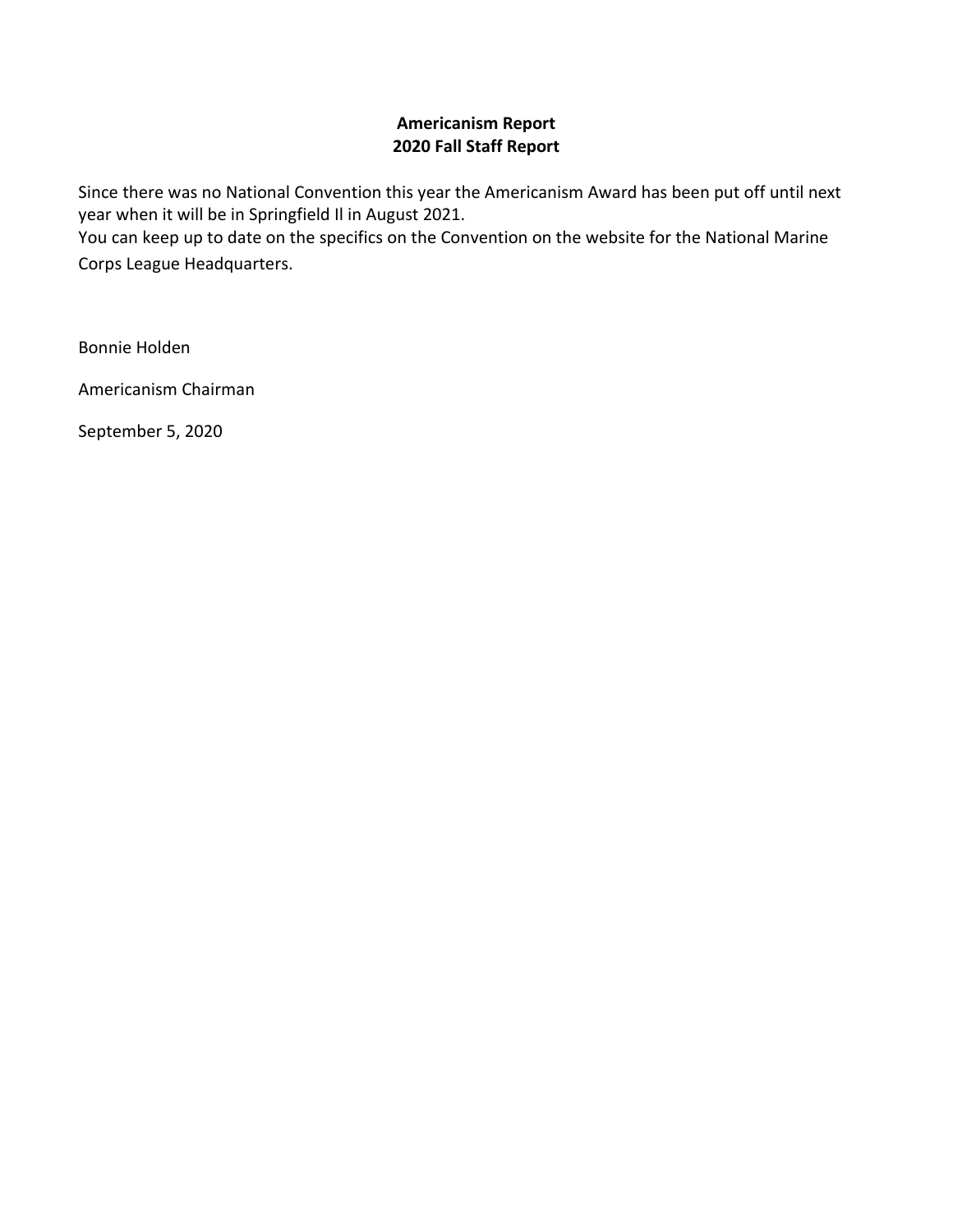## **Americanism Report 2020 Fall Staff Report**

Since there was no National Convention this year the Americanism Award has been put off until next year when it will be in Springfield Il in August 2021.

You can keep up to date on the specifics on the Convention on the website for the National Marine Corps League Headquarters.

Bonnie Holden

Americanism Chairman

September 5, 2020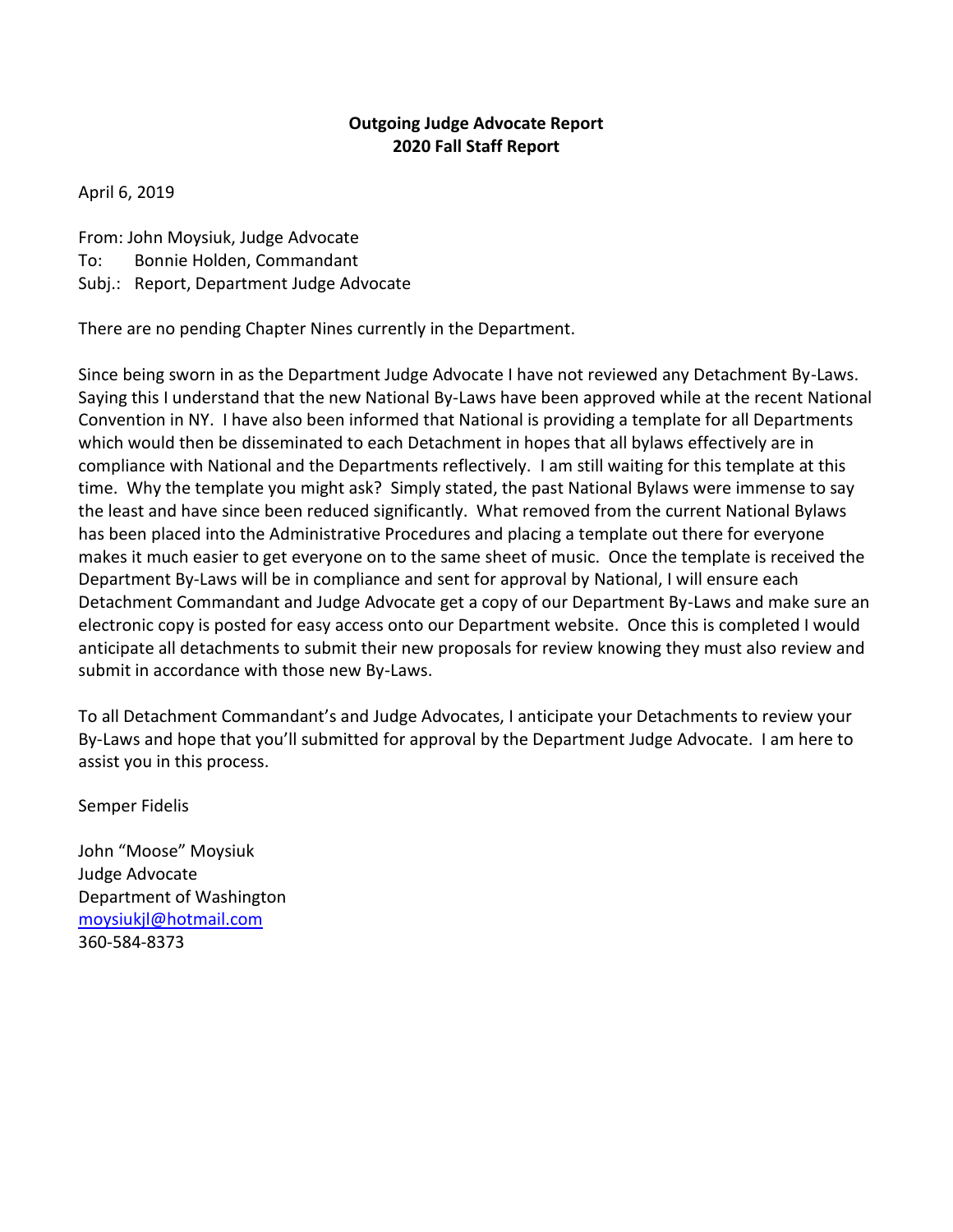## **Outgoing Judge Advocate Report 2020 Fall Staff Report**

April 6, 2019

From: John Moysiuk, Judge Advocate To: Bonnie Holden, Commandant

Subj.: Report, Department Judge Advocate

There are no pending Chapter Nines currently in the Department.

Since being sworn in as the Department Judge Advocate I have not reviewed any Detachment By-Laws. Saying this I understand that the new National By-Laws have been approved while at the recent National Convention in NY. I have also been informed that National is providing a template for all Departments which would then be disseminated to each Detachment in hopes that all bylaws effectively are in compliance with National and the Departments reflectively. I am still waiting for this template at this time. Why the template you might ask? Simply stated, the past National Bylaws were immense to say the least and have since been reduced significantly. What removed from the current National Bylaws has been placed into the Administrative Procedures and placing a template out there for everyone makes it much easier to get everyone on to the same sheet of music. Once the template is received the Department By-Laws will be in compliance and sent for approval by National, I will ensure each Detachment Commandant and Judge Advocate get a copy of our Department By-Laws and make sure an electronic copy is posted for easy access onto our Department website. Once this is completed I would anticipate all detachments to submit their new proposals for review knowing they must also review and submit in accordance with those new By-Laws.

To all Detachment Commandant's and Judge Advocates, I anticipate your Detachments to review your By-Laws and hope that you'll submitted for approval by the Department Judge Advocate. I am here to assist you in this process.

Semper Fidelis

John "Moose" Moysiuk Judge Advocate Department of Washington [moysiukjl@hotmail.com](mailto:moysiukjl@hotmail.com) 360-584-8373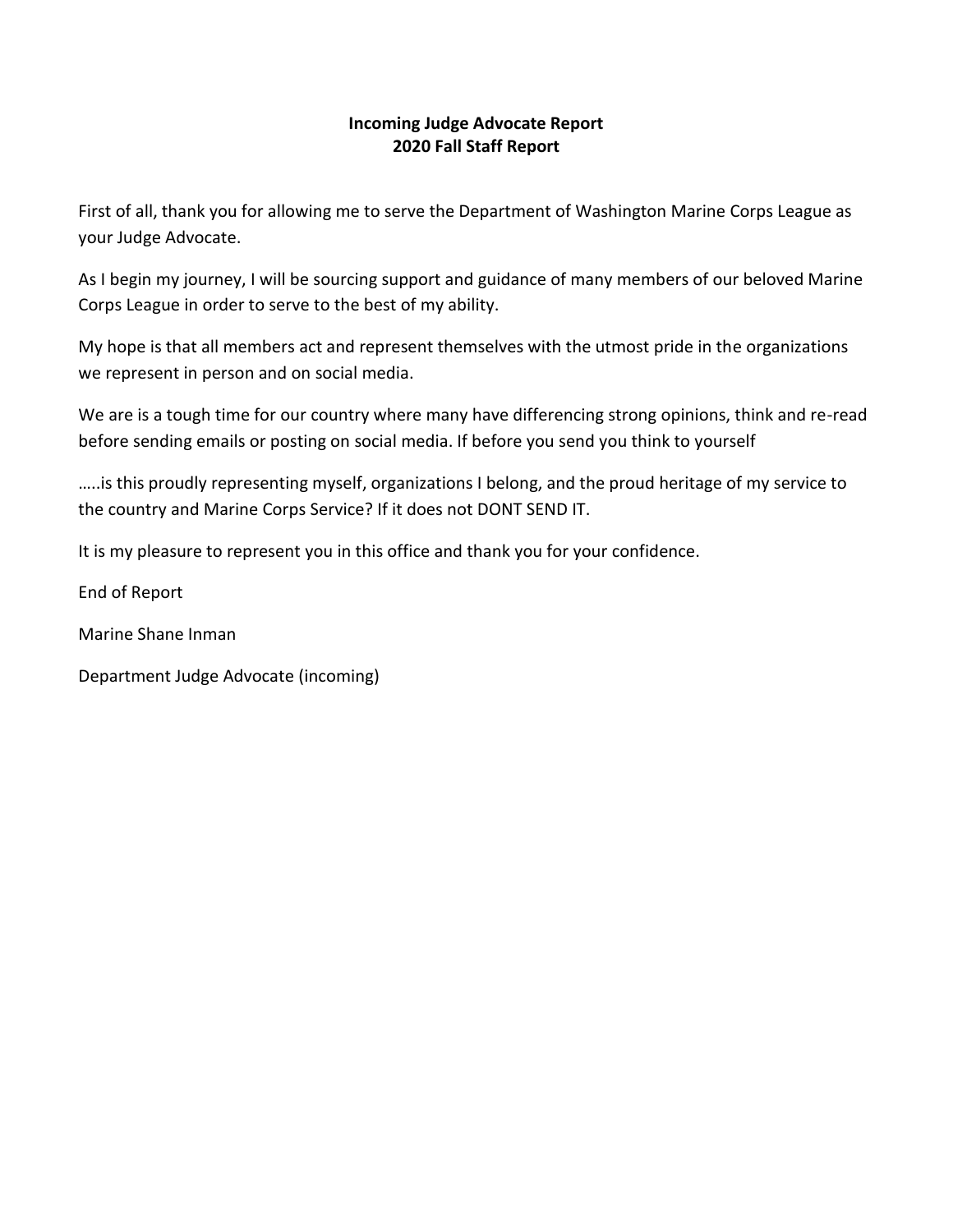## **Incoming Judge Advocate Report 2020 Fall Staff Report**

First of all, thank you for allowing me to serve the Department of Washington Marine Corps League as your Judge Advocate.

As I begin my journey, I will be sourcing support and guidance of many members of our beloved Marine Corps League in order to serve to the best of my ability.

My hope is that all members act and represent themselves with the utmost pride in the organizations we represent in person and on social media.

We are is a tough time for our country where many have differencing strong opinions, think and re-read before sending emails or posting on social media. If before you send you think to yourself

…..is this proudly representing myself, organizations I belong, and the proud heritage of my service to the country and Marine Corps Service? If it does not DONT SEND IT.

It is my pleasure to represent you in this office and thank you for your confidence.

End of Report

Marine Shane Inman

Department Judge Advocate (incoming)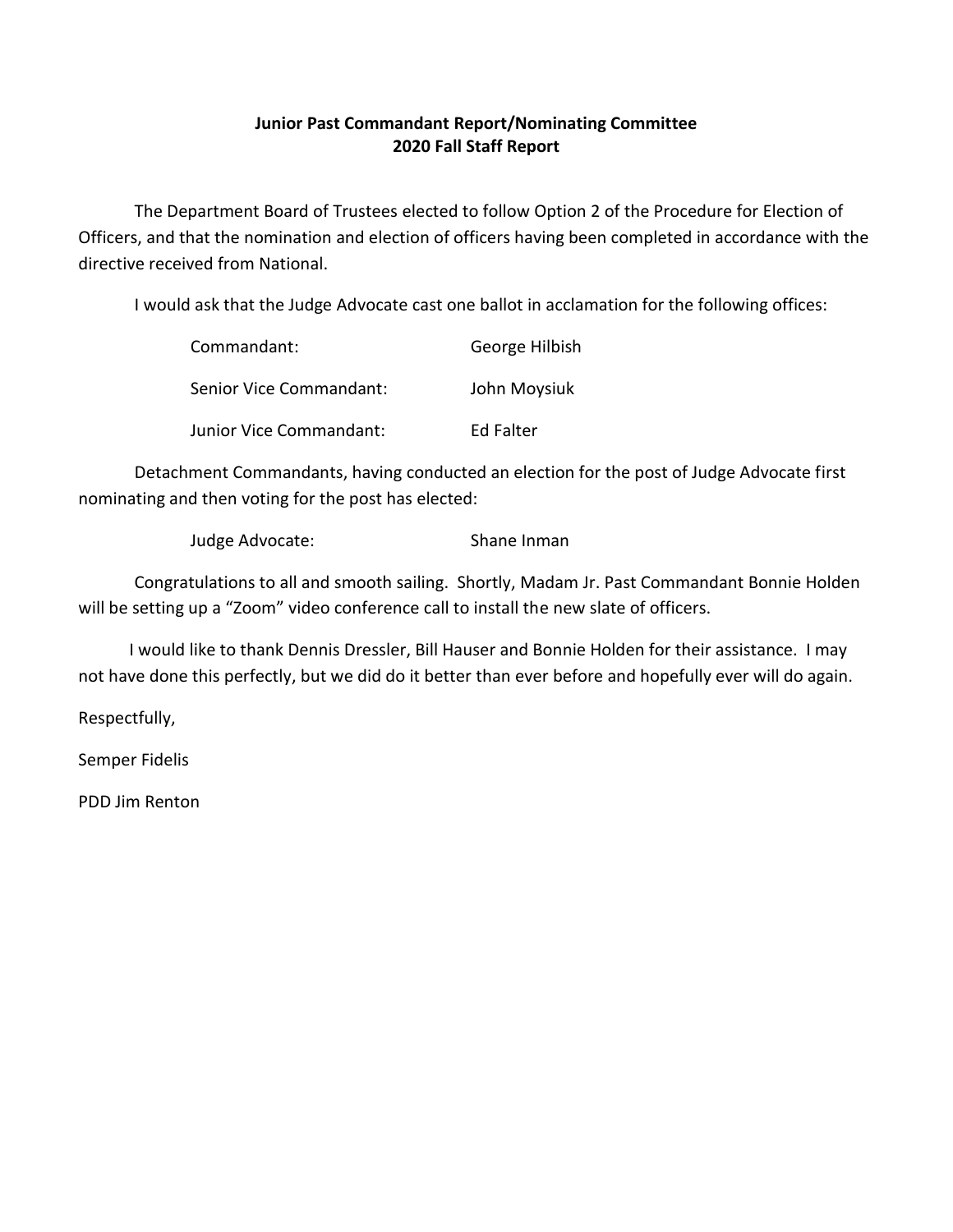# **Junior Past Commandant Report/Nominating Committee 2020 Fall Staff Report**

The Department Board of Trustees elected to follow Option 2 of the Procedure for Election of Officers, and that the nomination and election of officers having been completed in accordance with the directive received from National.

I would ask that the Judge Advocate cast one ballot in acclamation for the following offices:

| Commandant:                    | George Hilbish |
|--------------------------------|----------------|
| Senior Vice Commandant:        | John Moysiuk   |
| <b>Junior Vice Commandant:</b> | Ed Falter      |

Detachment Commandants, having conducted an election for the post of Judge Advocate first nominating and then voting for the post has elected:

Judge Advocate: Shane Inman

Congratulations to all and smooth sailing. Shortly, Madam Jr. Past Commandant Bonnie Holden will be setting up a "Zoom" video conference call to install the new slate of officers.

 I would like to thank Dennis Dressler, Bill Hauser and Bonnie Holden for their assistance. I may not have done this perfectly, but we did do it better than ever before and hopefully ever will do again.

Respectfully,

Semper Fidelis

PDD Jim Renton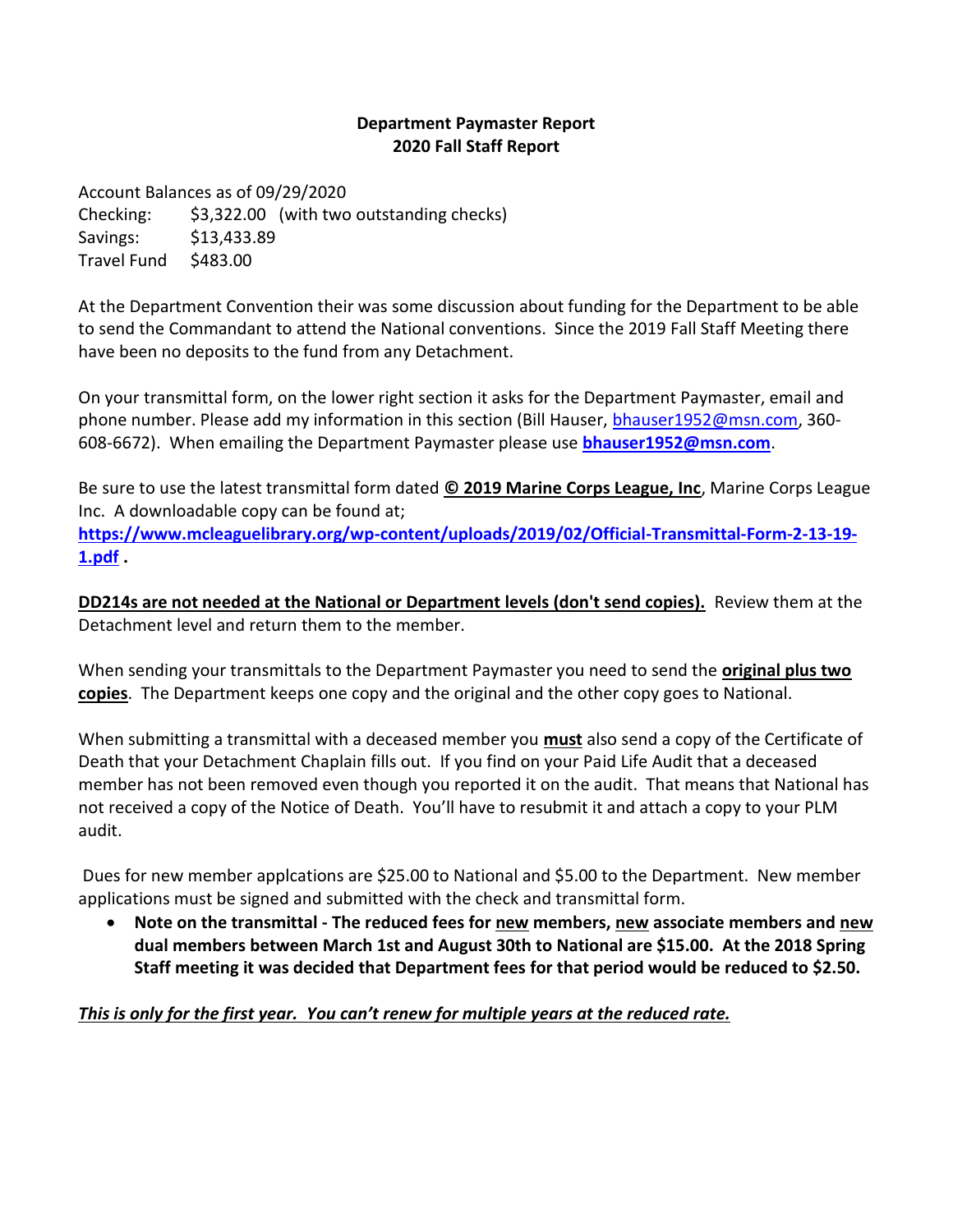## **Department Paymaster Report 2020 Fall Staff Report**

Account Balances as of 09/29/2020 Checking: \$3,322.00 (with two outstanding checks) Savings: \$13,433.89 Travel Fund \$483.00

At the Department Convention their was some discussion about funding for the Department to be able to send the Commandant to attend the National conventions. Since the 2019 Fall Staff Meeting there have been no deposits to the fund from any Detachment.

On your transmittal form, on the lower right section it asks for the Department Paymaster, email and phone number. Please add my information in this section (Bill Hauser, [bhauser1952@msn.com,](mailto:bhauser1952@msn.com) 360- 608-6672). When emailing the Department Paymaster please use **[bhauser1952@msn.com](file:///C:/Users/Bill/Desktop/bhauser1952@msn.com)**.

Be sure to use the latest transmittal form dated **© 2019 Marine Corps League, Inc**, Marine Corps League Inc. A downloadable copy can be found at;

**[https://www.mcleaguelibrary.org/wp-content/uploads/2019/02/Official-Transmittal-Form-2-13-19-](https://www.mcleaguelibrary.org/wp-content/uploads/2019/02/Official-Transmittal-Form-2-13-19-1.pdf) [1.pdf](https://www.mcleaguelibrary.org/wp-content/uploads/2019/02/Official-Transmittal-Form-2-13-19-1.pdf) .**

**DD214s are not needed at the National or Department levels (don't send copies).** Review them at the Detachment level and return them to the member.

When sending your transmittals to the Department Paymaster you need to send the **original plus two copies**. The Department keeps one copy and the original and the other copy goes to National.

When submitting a transmittal with a deceased member you **must** also send a copy of the Certificate of Death that your Detachment Chaplain fills out. If you find on your Paid Life Audit that a deceased member has not been removed even though you reported it on the audit. That means that National has not received a copy of the Notice of Death. You'll have to resubmit it and attach a copy to your PLM audit.

Dues for new member applcations are \$25.00 to National and \$5.00 to the Department. New member applications must be signed and submitted with the check and transmittal form.

• **Note on the transmittal - The reduced fees for new members, new associate members and new dual members between March 1st and August 30th to National are \$15.00. At the 2018 Spring Staff meeting it was decided that Department fees for that period would be reduced to \$2.50.** 

## *This is only for the first year. You can't renew for multiple years at the reduced rate.*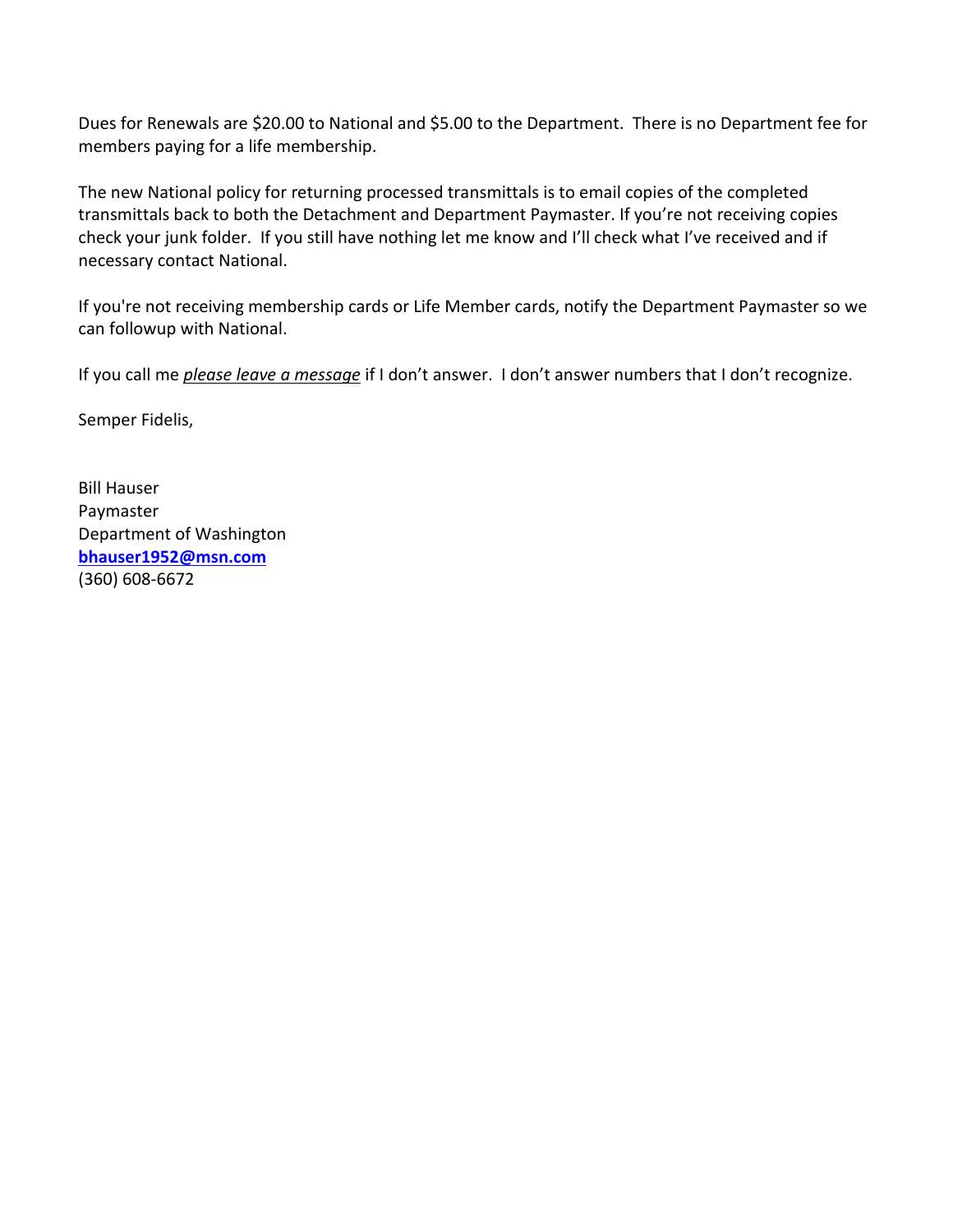Dues for Renewals are \$20.00 to National and \$5.00 to the Department. There is no Department fee for members paying for a life membership.

The new National policy for returning processed transmittals is to email copies of the completed transmittals back to both the Detachment and Department Paymaster. If you're not receiving copies check your junk folder. If you still have nothing let me know and I'll check what I've received and if necessary contact National.

If you're not receiving membership cards or Life Member cards, notify the Department Paymaster so we can followup with National.

If you call me *please leave a message* if I don't answer. I don't answer numbers that I don't recognize.

Semper Fidelis,

Bill Hauser Paymaster Department of Washington **[bhauser1952@msn.com](file:///C:/Users/Bill/Desktop/bhauser1952@msn.com)** (360) 608-6672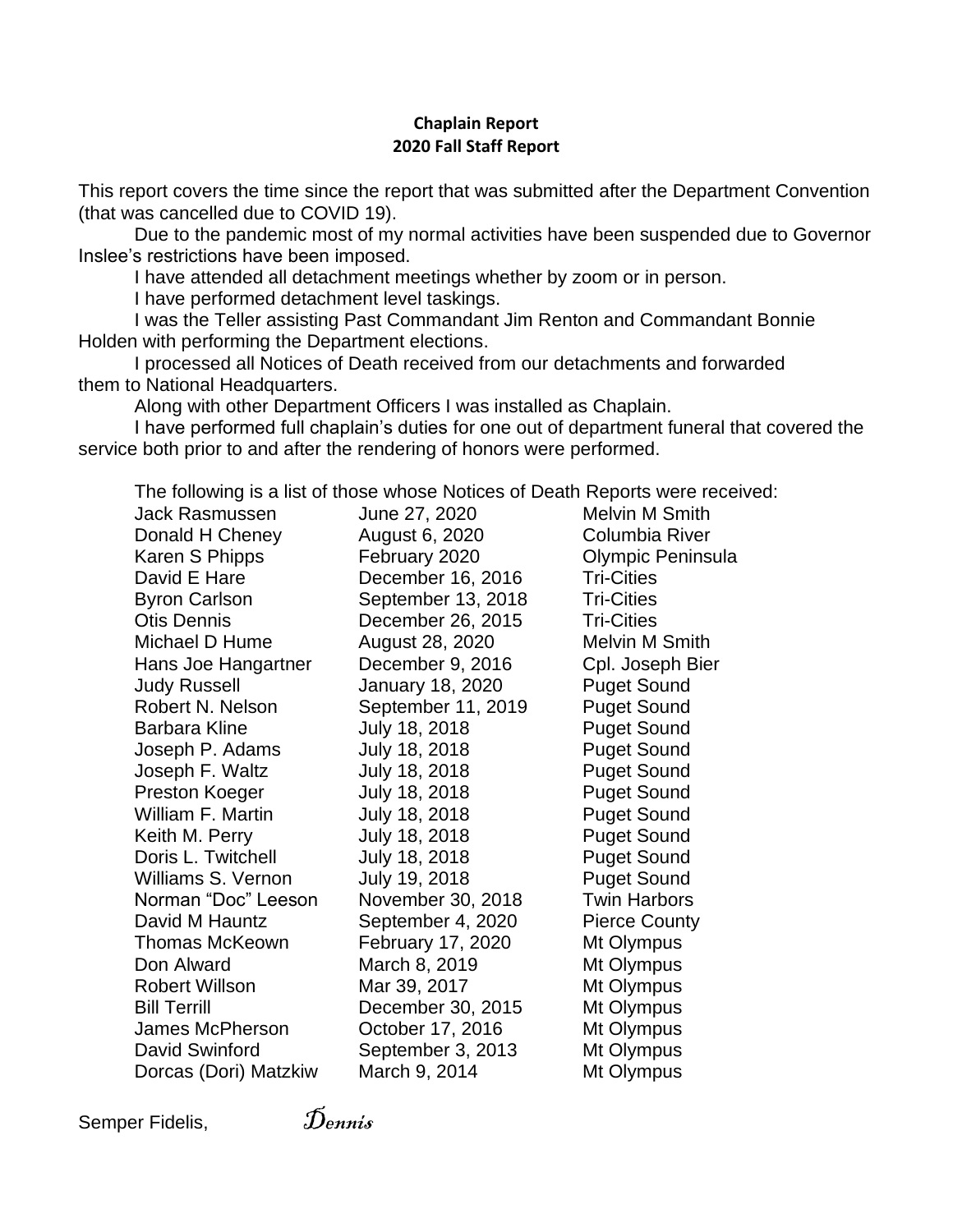### **Chaplain Report 2020 Fall Staff Report**

This report covers the time since the report that was submitted after the Department Convention (that was cancelled due to COVID 19).

Due to the pandemic most of my normal activities have been suspended due to Governor Inslee's restrictions have been imposed.

I have attended all detachment meetings whether by zoom or in person.

I have performed detachment level taskings.

I was the Teller assisting Past Commandant Jim Renton and Commandant Bonnie Holden with performing the Department elections.

I processed all Notices of Death received from our detachments and forwarded them to National Headquarters.

Along with other Department Officers I was installed as Chaplain.

I have performed full chaplain's duties for one out of department funeral that covered the service both prior to and after the rendering of honors were performed.

The following is a list of those whose Notices of Death Reports were received:

| Jack Rasmussen        | June 27, 2020      | <b>Melvin M Smith</b> |
|-----------------------|--------------------|-----------------------|
| Donald H Cheney       | August 6, 2020     | Columbia River        |
| Karen S Phipps        | February 2020      | Olympic Peninsula     |
| David E Hare          | December 16, 2016  | <b>Tri-Cities</b>     |
| <b>Byron Carlson</b>  | September 13, 2018 | <b>Tri-Cities</b>     |
| Otis Dennis           | December 26, 2015  | <b>Tri-Cities</b>     |
| Michael D Hume        | August 28, 2020    | Melvin M Smith        |
| Hans Joe Hangartner   | December 9, 2016   | Cpl. Joseph Bier      |
| Judy Russell          | January 18, 2020   | <b>Puget Sound</b>    |
| Robert N. Nelson      | September 11, 2019 | <b>Puget Sound</b>    |
| Barbara Kline         | July 18, 2018      | <b>Puget Sound</b>    |
| Joseph P. Adams       | July 18, 2018      | <b>Puget Sound</b>    |
| Joseph F. Waltz       | July 18, 2018      | <b>Puget Sound</b>    |
| Preston Koeger        | July 18, 2018      | <b>Puget Sound</b>    |
| William F. Martin     | July 18, 2018      | <b>Puget Sound</b>    |
| Keith M. Perry        | July 18, 2018      | <b>Puget Sound</b>    |
| Doris L. Twitchell    | July 18, 2018      | <b>Puget Sound</b>    |
| Williams S. Vernon    | July 19, 2018      | <b>Puget Sound</b>    |
| Norman "Doc" Leeson   | November 30, 2018  | <b>Twin Harbors</b>   |
| David M Hauntz        | September 4, 2020  | <b>Pierce County</b>  |
| Thomas McKeown        | February 17, 2020  | Mt Olympus            |
| Don Alward            | March 8, 2019      | Mt Olympus            |
| <b>Robert Willson</b> | Mar 39, 2017       | Mt Olympus            |
| <b>Bill Terrill</b>   | December 30, 2015  | Mt Olympus            |
| James McPherson       | October 17, 2016   | Mt Olympus            |
| David Swinford        | September 3, 2013  | Mt Olympus            |
| Dorcas (Dori) Matzkiw | March 9, 2014      | Mt Olympus            |

Semper Fidelis,  $\tilde{D}_{emnis}$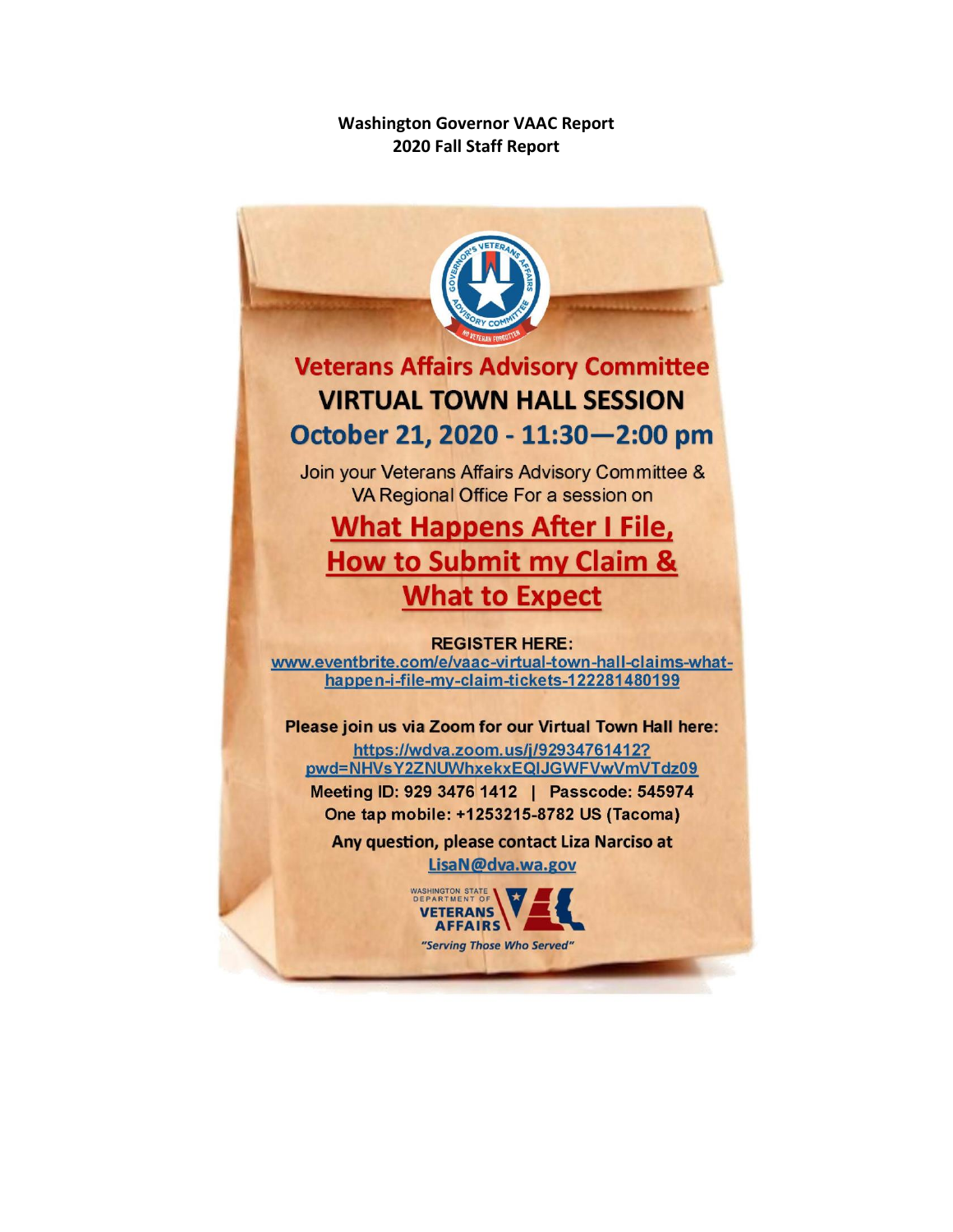## **Washington Governor VAAC Report 2020 Fall Staff Report**

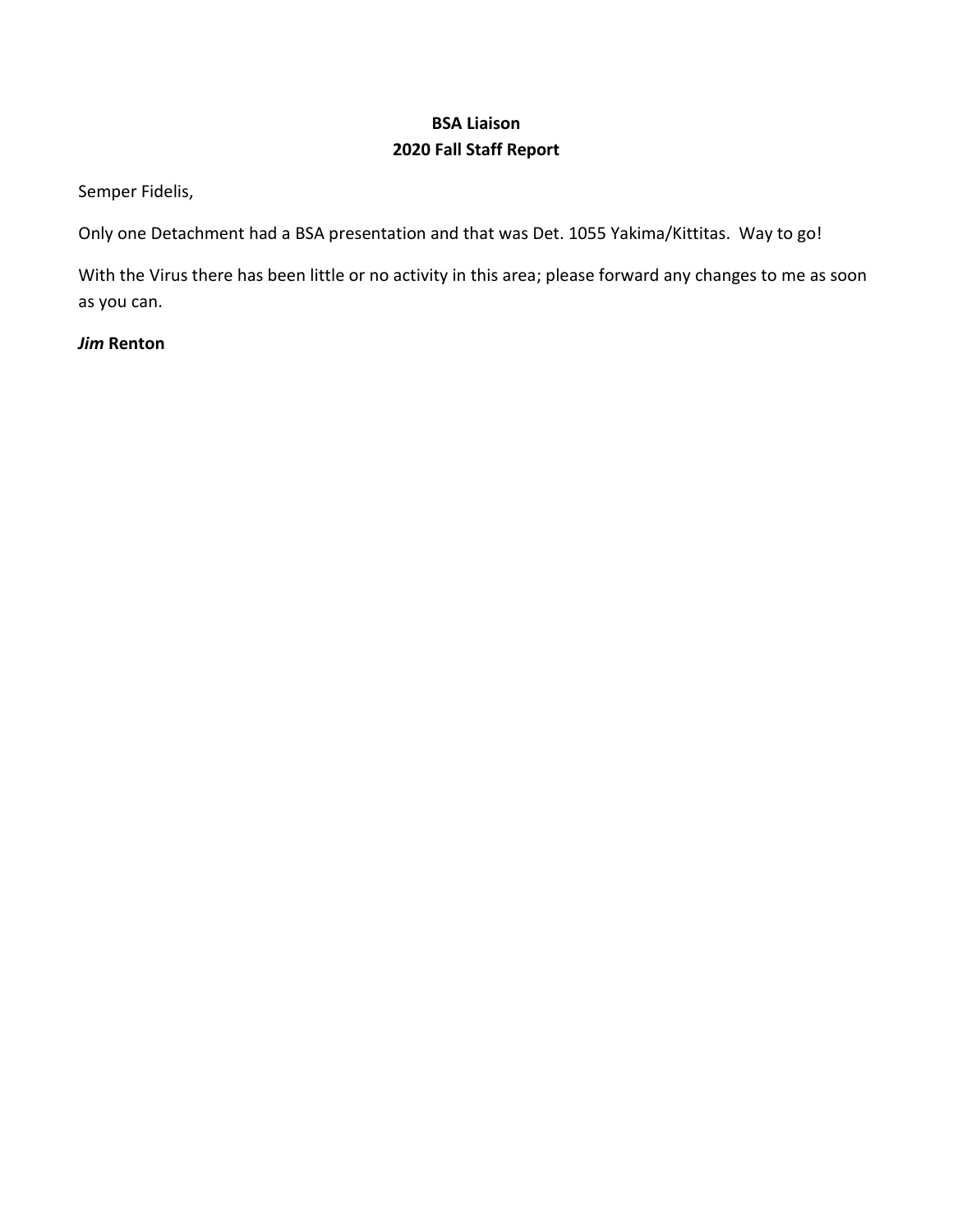# **BSA Liaison 2020 Fall Staff Report**

Semper Fidelis,

Only one Detachment had a BSA presentation and that was Det. 1055 Yakima/Kittitas. Way to go!

With the Virus there has been little or no activity in this area; please forward any changes to me as soon as you can.

*Jim* **Renton**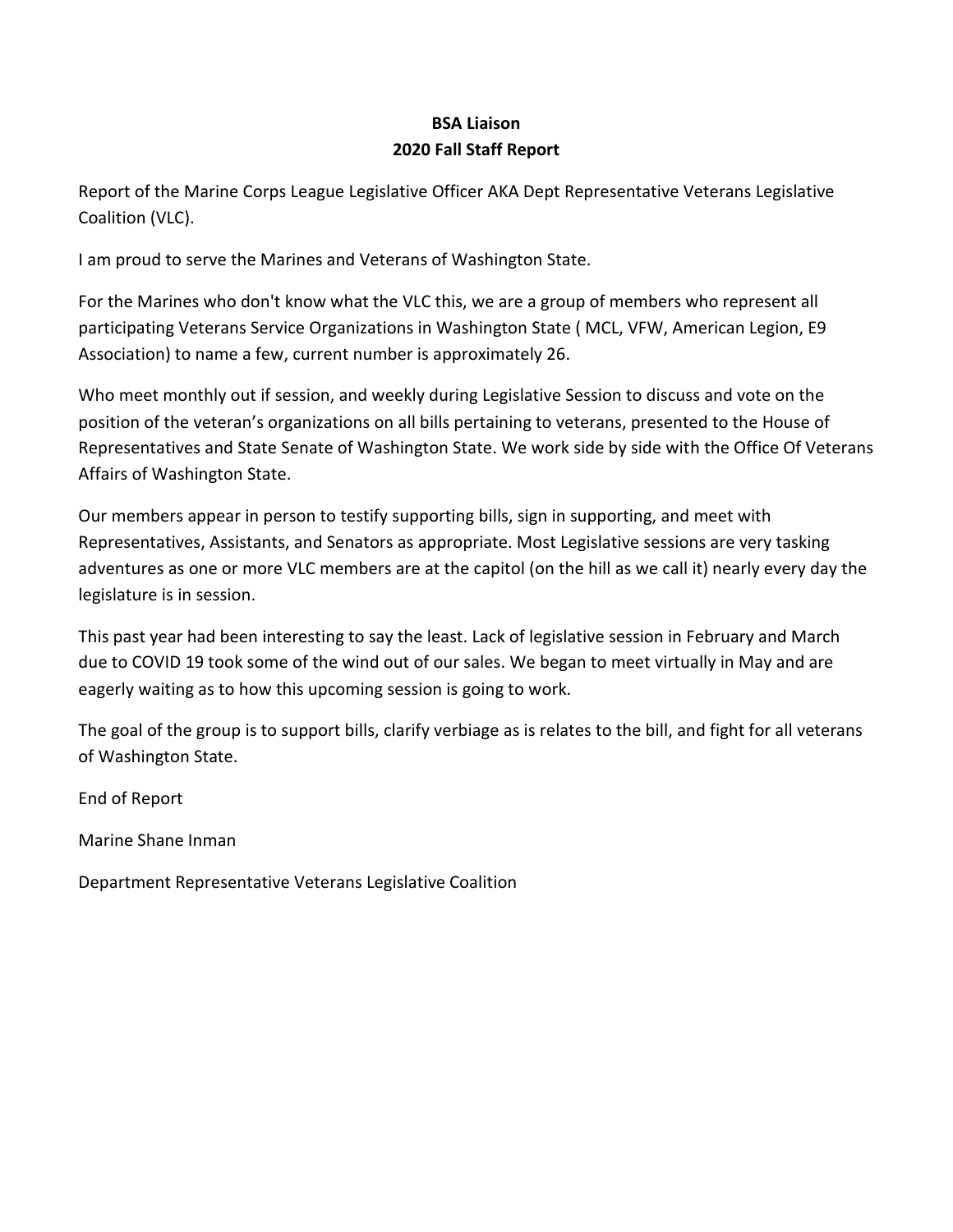# **BSA Liaison 2020 Fall Staff Report**

Report of the Marine Corps League Legislative Officer AKA Dept Representative Veterans Legislative Coalition (VLC).

I am proud to serve the Marines and Veterans of Washington State.

For the Marines who don't know what the VLC this, we are a group of members who represent all participating Veterans Service Organizations in Washington State ( MCL, VFW, American Legion, E9 Association) to name a few, current number is approximately 26.

Who meet monthly out if session, and weekly during Legislative Session to discuss and vote on the position of the veteran's organizations on all bills pertaining to veterans, presented to the House of Representatives and State Senate of Washington State. We work side by side with the Office Of Veterans Affairs of Washington State.

Our members appear in person to testify supporting bills, sign in supporting, and meet with Representatives, Assistants, and Senators as appropriate. Most Legislative sessions are very tasking adventures as one or more VLC members are at the capitol (on the hill as we call it) nearly every day the legislature is in session.

This past year had been interesting to say the least. Lack of legislative session in February and March due to COVID 19 took some of the wind out of our sales. We began to meet virtually in May and are eagerly waiting as to how this upcoming session is going to work.

The goal of the group is to support bills, clarify verbiage as is relates to the bill, and fight for all veterans of Washington State.

End of Report

Marine Shane Inman

Department Representative Veterans Legislative Coalition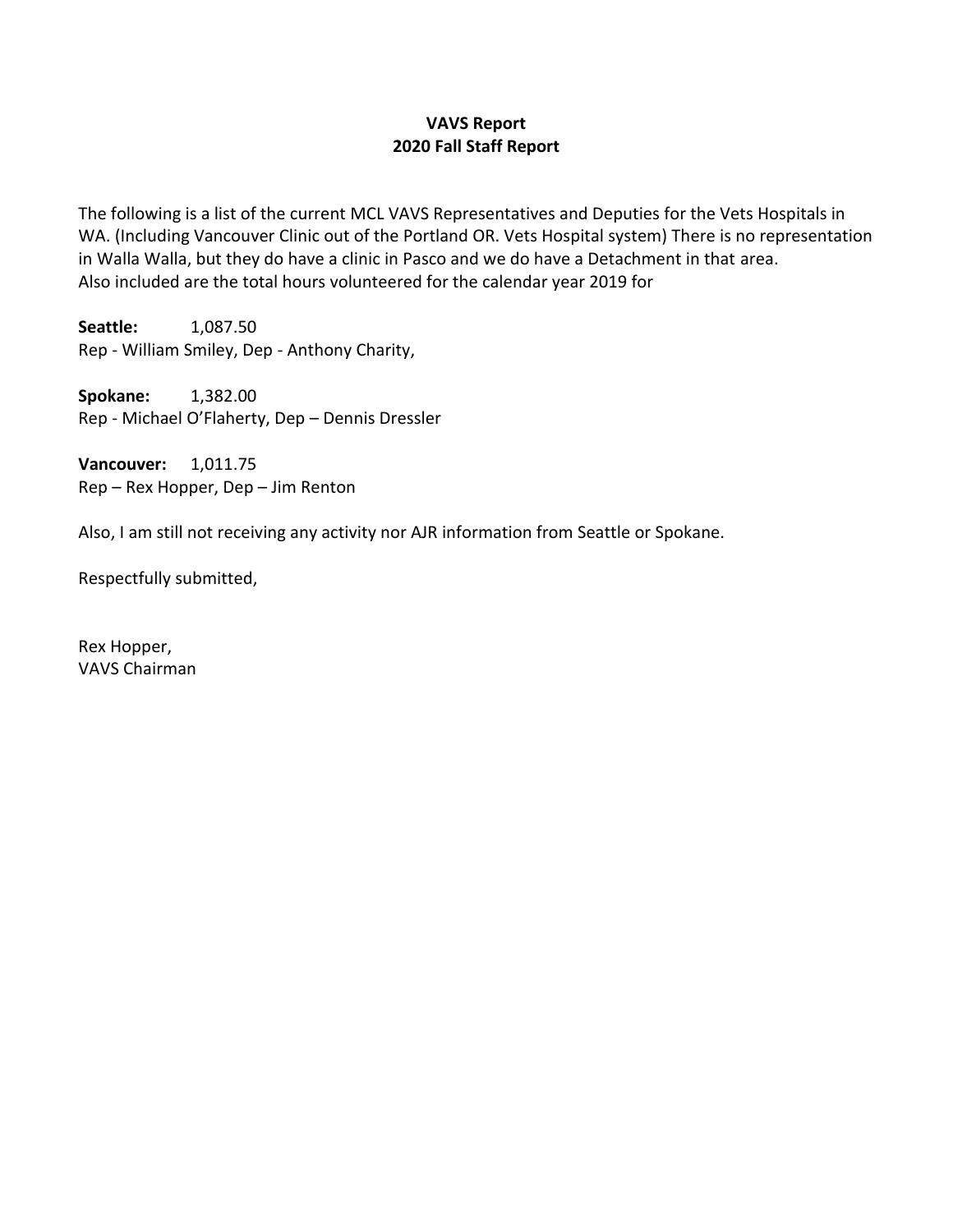# **VAVS Report 2020 Fall Staff Report**

The following is a list of the current MCL VAVS Representatives and Deputies for the Vets Hospitals in WA. (Including Vancouver Clinic out of the Portland OR. Vets Hospital system) There is no representation in Walla Walla, but they do have a clinic in Pasco and we do have a Detachment in that area. Also included are the total hours volunteered for the calendar year 2019 for

**Seattle:** 1,087.50 Rep - William Smiley, Dep - Anthony Charity,

**Spokane:** 1,382.00 Rep - Michael O'Flaherty, Dep – Dennis Dressler

**Vancouver:** 1,011.75 Rep – Rex Hopper, Dep – Jim Renton

Also, I am still not receiving any activity nor AJR information from Seattle or Spokane.

Respectfully submitted,

Rex Hopper, VAVS Chairman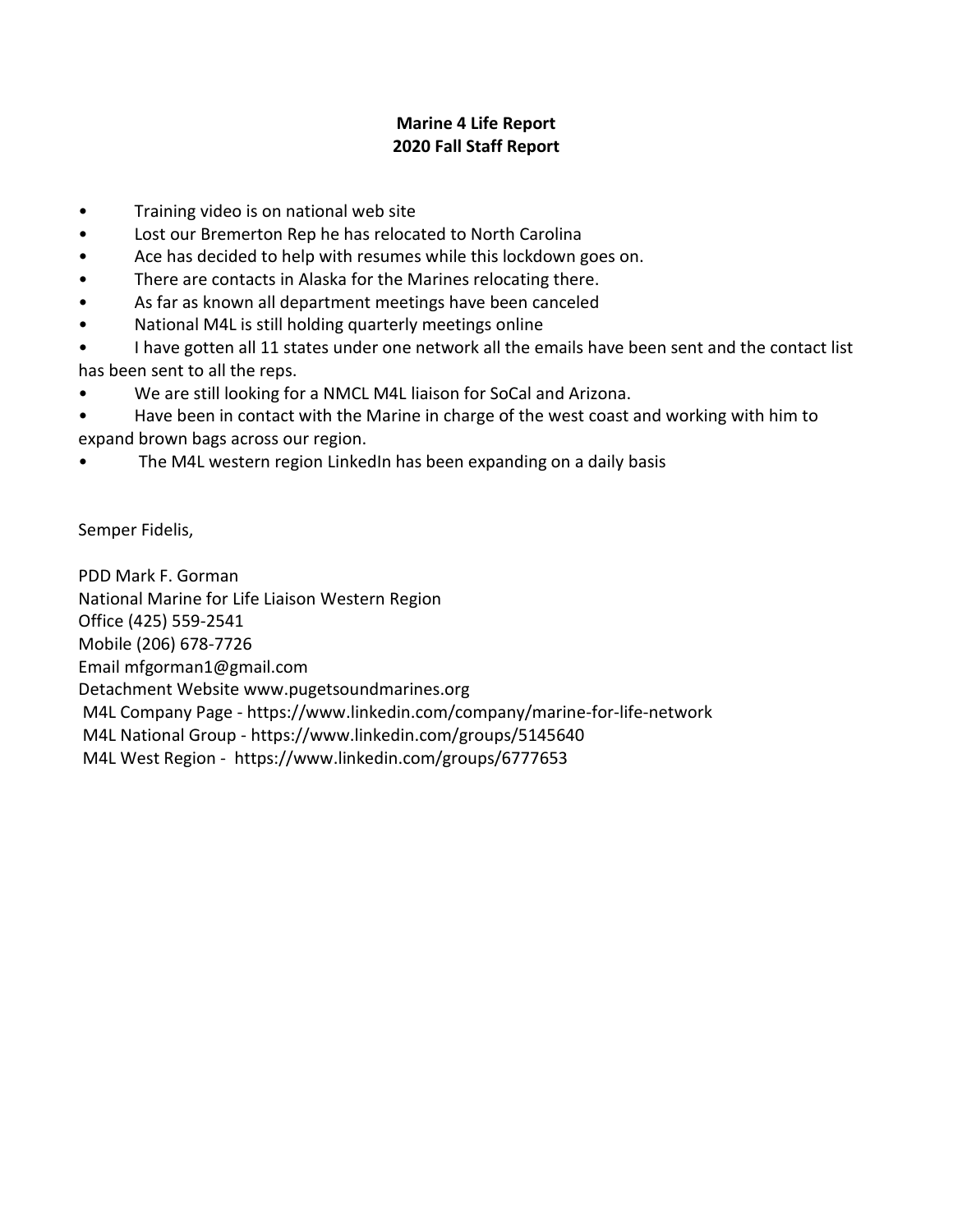## **Marine 4 Life Report 2020 Fall Staff Report**

- Training video is on national web site
- Lost our Bremerton Rep he has relocated to North Carolina
- Ace has decided to help with resumes while this lockdown goes on.
- There are contacts in Alaska for the Marines relocating there.
- As far as known all department meetings have been canceled
- National M4L is still holding quarterly meetings online
- I have gotten all 11 states under one network all the emails have been sent and the contact list has been sent to all the reps.
- We are still looking for a NMCL M4L liaison for SoCal and Arizona.
- Have been in contact with the Marine in charge of the west coast and working with him to expand brown bags across our region.
- The M4L western region LinkedIn has been expanding on a daily basis

Semper Fidelis,

PDD Mark F. Gorman National Marine for Life Liaison Western Region Office (425) 559-2541 Mobile (206) 678-7726 Email mfgorman1@gmail.com Detachment Website www.pugetsoundmarines.org M4L Company Page - https://www.linkedin.com/company/marine-for-life-network M4L National Group - https://www.linkedin.com/groups/5145640 M4L West Region - https://www.linkedin.com/groups/6777653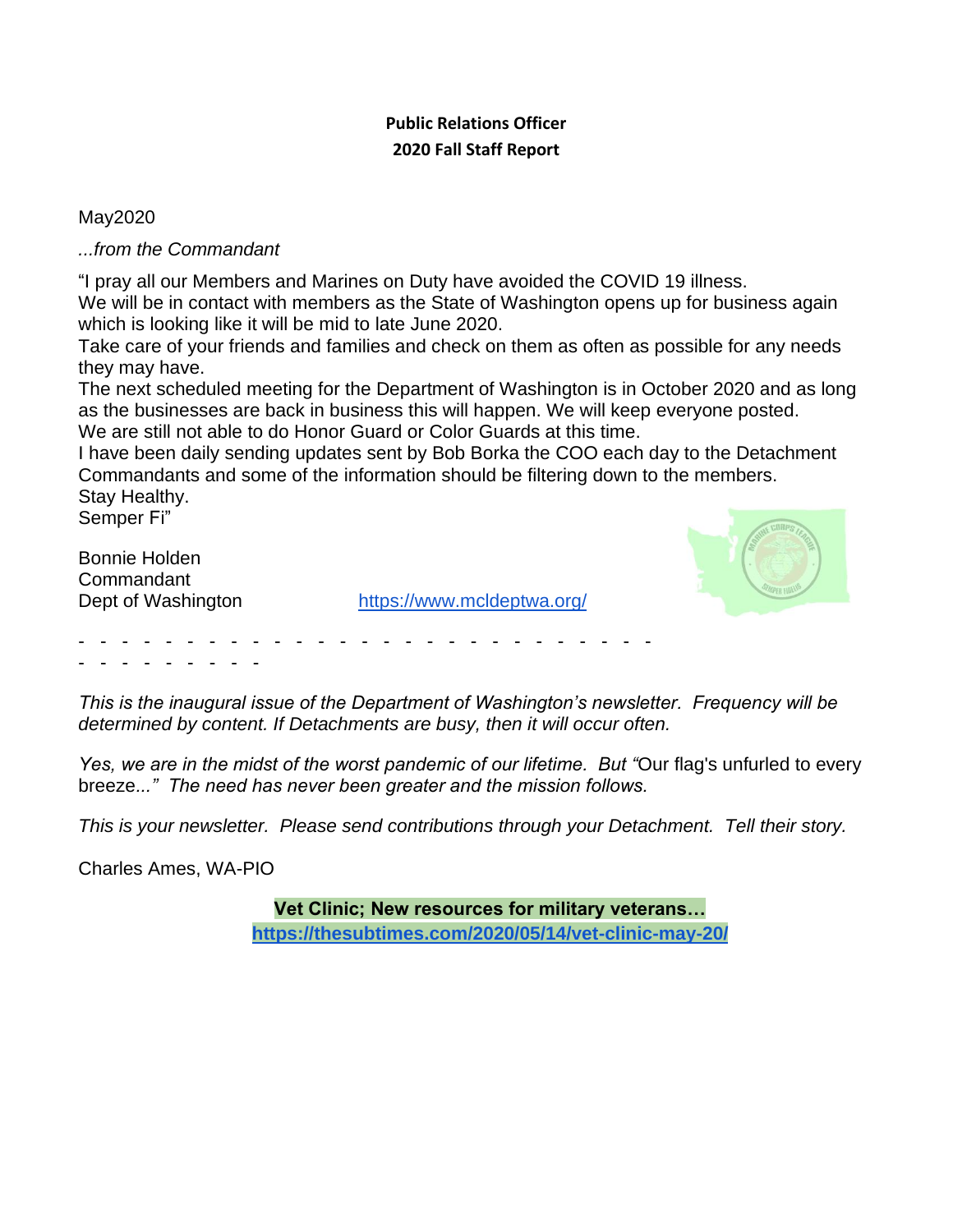# **Public Relations Officer 2020 Fall Staff Report**

May2020

*...from the Commandant*

"I pray all our Members and Marines on Duty have avoided the COVID 19 illness. We will be in contact with members as the State of Washington opens up for business again which is looking like it will be mid to late June 2020.

Take care of your friends and families and check on them as often as possible for any needs they may have.

The next scheduled meeting for the Department of Washington is in October 2020 and as long as the businesses are back in business this will happen. We will keep everyone posted. We are still not able to do Honor Guard or Color Guards at this time.

I have been daily sending updates sent by Bob Borka the COO each day to the Detachment Commandants and some of the information should be filtering down to the members. Stay Healthy.

Semper Fi"

Bonnie Holden Commandant

Dept of Washington <https://www.mcldeptwa.org/>



- - - - - - - - - - - - - - - - - - - - - - - - - - - - - - - - - - - -

*This is the inaugural issue of the Department of Washington's newsletter. Frequency will be determined by content. If Detachments are busy, then it will occur often.* 

*Yes, we are in the midst of the worst pandemic of our lifetime. But "*Our flag's unfurled to every breeze*..." The need has never been greater and the mission follows.* 

*This is your newsletter. Please send contributions through your Detachment. Tell their story.*

Charles Ames, WA-PIO

**Vet Clinic; New resources for military veterans… <https://thesubtimes.com/2020/05/14/vet-clinic-may-20/>**